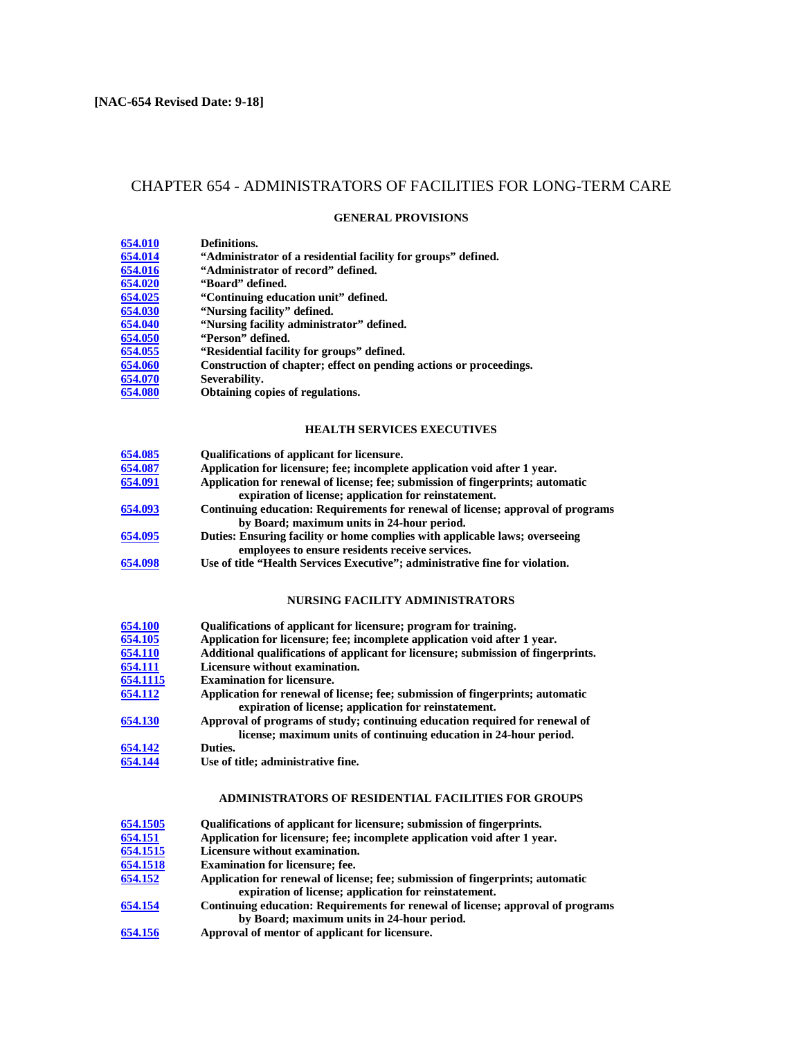### CHAPTER 654 - ADMINISTRATORS OF FACILITIES FOR LONG-TERM CARE

#### **GENERAL PROVISIONS**

| 654.010 | Definitions.                                                       |
|---------|--------------------------------------------------------------------|
| 654.014 | "Administrator of a residential facility for groups" defined.      |
| 654.016 | "Administrator of record" defined.                                 |
| 654.020 | "Board" defined.                                                   |
| 654.025 | "Continuing education unit" defined.                               |
| 654.030 | "Nursing facility" defined.                                        |
| 654.040 | "Nursing facility administrator" defined.                          |
| 654.050 | "Person" defined.                                                  |
| 654.055 | "Residential facility for groups" defined.                         |
| 654.060 | Construction of chapter; effect on pending actions or proceedings. |
| 654.070 | Severability.                                                      |

**[654.080](https://www.leg.state.nv.us/NAC/NAC-654.html#NAC654Sec080) Obtaining copies of regulations.**

#### **HEALTH SERVICES EXECUTIVES**

| 654.085 | <b>Qualifications of applicant for licensure.</b>                               |
|---------|---------------------------------------------------------------------------------|
| 654.087 | Application for licensure; fee; incomplete application void after 1 year.       |
| 654.091 | Application for renewal of license; fee; submission of fingerprints; automatic  |
|         | expiration of license; application for reinstatement.                           |
| 654.093 | Continuing education: Requirements for renewal of license; approval of programs |
|         | by Board; maximum units in 24-hour period.                                      |
| 654.095 | Duties: Ensuring facility or home complies with applicable laws; overseeing     |

- **employees to ensure residents receive services.**
- **[654.098](https://www.leg.state.nv.us/NAC/NAC-654.html#NAC654Sec098) Use of title "Health Services Executive"; administrative fine for violation.**

#### **NURSING FACILITY ADMINISTRATORS**

- **[654.100](https://www.leg.state.nv.us/NAC/NAC-654.html#NAC654Sec100) Qualifications of applicant for licensure; program for training.**
- 
- **[654.105](https://www.leg.state.nv.us/NAC/NAC-654.html#NAC654Sec105) Application for licensure; fee; incomplete application void after 1 year. [654.110](https://www.leg.state.nv.us/NAC/NAC-654.html#NAC654Sec110) Additional qualifications of applicant for licensure; submission of fingerprints.**
- **[654.111](https://www.leg.state.nv.us/NAC/NAC-654.html#NAC654Sec111) Licensure without examination.**
- **[654.1115](https://www.leg.state.nv.us/NAC/NAC-654.html#NAC654Sec1115) Examination for licensure.**
- **[654.112](https://www.leg.state.nv.us/NAC/NAC-654.html#NAC654Sec112) Application for renewal of license; fee; submission of fingerprints; automatic expiration of license; application for reinstatement.**
- **[654.130](https://www.leg.state.nv.us/NAC/NAC-654.html#NAC654Sec130) Approval of programs of study; continuing education required for renewal of license; maximum units of continuing education in 24-hour period.**
- **[654.142](https://www.leg.state.nv.us/NAC/NAC-654.html#NAC654Sec142) Duties.**
- **[654.144](https://www.leg.state.nv.us/NAC/NAC-654.html#NAC654Sec144) Use of title; administrative fine.**

#### **ADMINISTRATORS OF RESIDENTIAL FACILITIES FOR GROUPS**

| 654.1505 | Qualifications of applicant for licensure; submission of fingerprints.          |
|----------|---------------------------------------------------------------------------------|
| 654.151  | Application for licensure; fee; incomplete application void after 1 year.       |
| 654.1515 | Licensure without examination.                                                  |
| 654.1518 | <b>Examination for licensure; fee.</b>                                          |
| 654.152  | Application for renewal of license; fee; submission of fingerprints; automatic  |
|          | expiration of license; application for reinstatement.                           |
| 654.154  | Continuing education: Requirements for renewal of license; approval of programs |
|          | by Board; maximum units in 24-hour period.                                      |
| 654 156  | Approval of montor of applicant for licensure                                   |

**[654.156](https://www.leg.state.nv.us/NAC/NAC-654.html#NAC654Sec156) Approval of mentor of applicant for licensure.**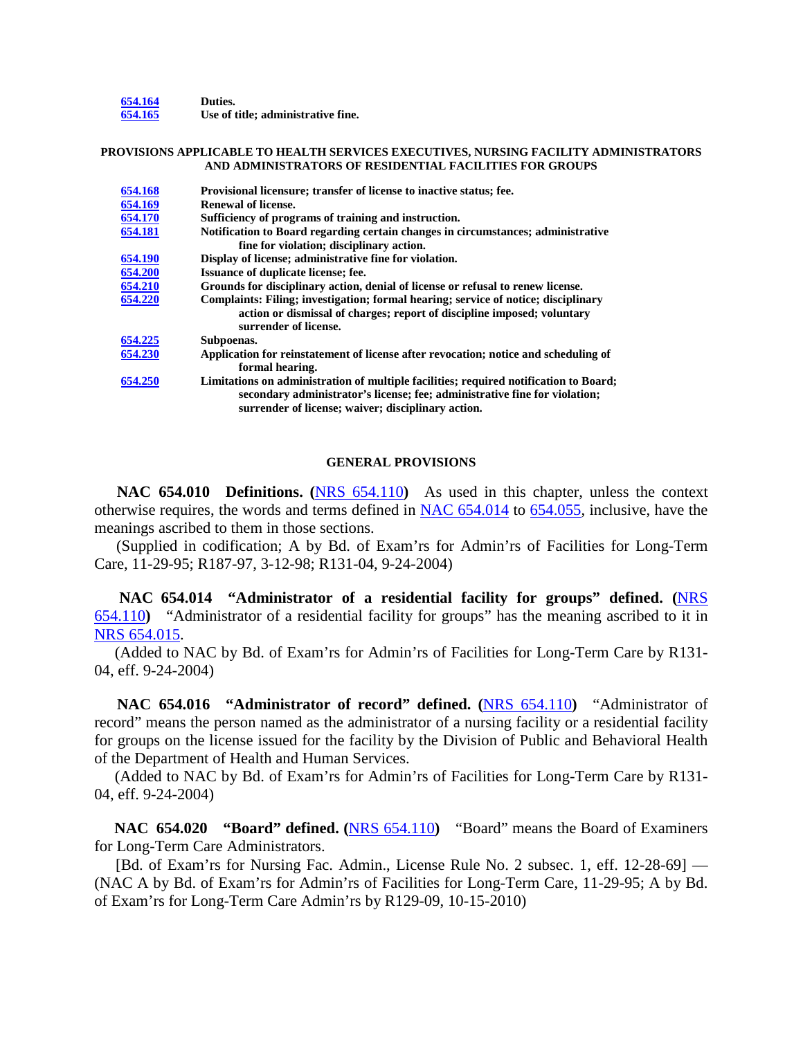| 654.164 | Duties.                            |
|---------|------------------------------------|
| 654.165 | Use of title; administrative fine. |

#### **PROVISIONS APPLICABLE TO HEALTH SERVICES EXECUTIVES, NURSING FACILITY ADMINISTRATORS AND ADMINISTRATORS OF RESIDENTIAL FACILITIES FOR GROUPS**

| 654.168 | Provisional licensure; transfer of license to inactive status; fee.                                                                                                                                                       |
|---------|---------------------------------------------------------------------------------------------------------------------------------------------------------------------------------------------------------------------------|
| 654.169 | Renewal of license.                                                                                                                                                                                                       |
| 654.170 | Sufficiency of programs of training and instruction.                                                                                                                                                                      |
| 654.181 | Notification to Board regarding certain changes in circumstances; administrative                                                                                                                                          |
|         | fine for violation; disciplinary action.                                                                                                                                                                                  |
| 654.190 | Display of license; administrative fine for violation.                                                                                                                                                                    |
| 654.200 | <b>Issuance of duplicate license; fee.</b>                                                                                                                                                                                |
| 654.210 | Grounds for disciplinary action, denial of license or refusal to renew license.                                                                                                                                           |
| 654.220 | Complaints: Filing; investigation; formal hearing; service of notice; disciplinary<br>action or dismissal of charges; report of discipline imposed; voluntary<br>surrender of license.                                    |
| 654.225 | Subpoenas.                                                                                                                                                                                                                |
| 654.230 | Application for reinstatement of license after revocation; notice and scheduling of<br>formal hearing.                                                                                                                    |
| 654.250 | Limitations on administration of multiple facilities; required notification to Board;<br>secondary administrator's license; fee; administrative fine for violation;<br>surrender of license; waiver; disciplinary action. |

#### **GENERAL PROVISIONS**

 **NAC 654.010 Definitions. (**[NRS 654.110](https://www.leg.state.nv.us/NRS/NRS-654.html#NRS654Sec110)**)** As used in this chapter, unless the context otherwise requires, the words and terms defined in [NAC 654.014](https://www.leg.state.nv.us/NAC/NAC-654.html#NAC654Sec014) to [654.055,](https://www.leg.state.nv.us/NAC/NAC-654.html#NAC654Sec055) inclusive, have the meanings ascribed to them in those sections.

 (Supplied in codification; A by Bd. of Exam'rs for Admin'rs of Facilities for Long-Term Care, 11-29-95; R187-97, 3-12-98; R131-04, 9-24-2004)

 **NAC 654.014 "Administrator of a residential facility for groups" defined. (**[NRS](https://www.leg.state.nv.us/NRS/NRS-654.html#NRS654Sec110)  [654.110](https://www.leg.state.nv.us/NRS/NRS-654.html#NRS654Sec110)**)** "Administrator of a residential facility for groups" has the meaning ascribed to it in [NRS 654.015.](https://www.leg.state.nv.us/NRS/NRS-654.html#NRS654Sec015)

 (Added to NAC by Bd. of Exam'rs for Admin'rs of Facilities for Long-Term Care by R131- 04, eff. 9-24-2004)

 **NAC 654.016 "Administrator of record" defined. (**[NRS 654.110](https://www.leg.state.nv.us/NRS/NRS-654.html#NRS654Sec110)**)** "Administrator of record" means the person named as the administrator of a nursing facility or a residential facility for groups on the license issued for the facility by the Division of Public and Behavioral Health of the Department of Health and Human Services.

 (Added to NAC by Bd. of Exam'rs for Admin'rs of Facilities for Long-Term Care by R131- 04, eff. 9-24-2004)

 **NAC 654.020 "Board" defined. (**[NRS 654.110](https://www.leg.state.nv.us/NRS/NRS-654.html#NRS654Sec110)**)** "Board" means the Board of Examiners for Long-Term Care Administrators.

 [Bd. of Exam'rs for Nursing Fac. Admin., License Rule No. 2 subsec. 1, eff. 12-28-69] — (NAC A by Bd. of Exam'rs for Admin'rs of Facilities for Long-Term Care, 11-29-95; A by Bd. of Exam'rs for Long-Term Care Admin'rs by R129-09, 10-15-2010)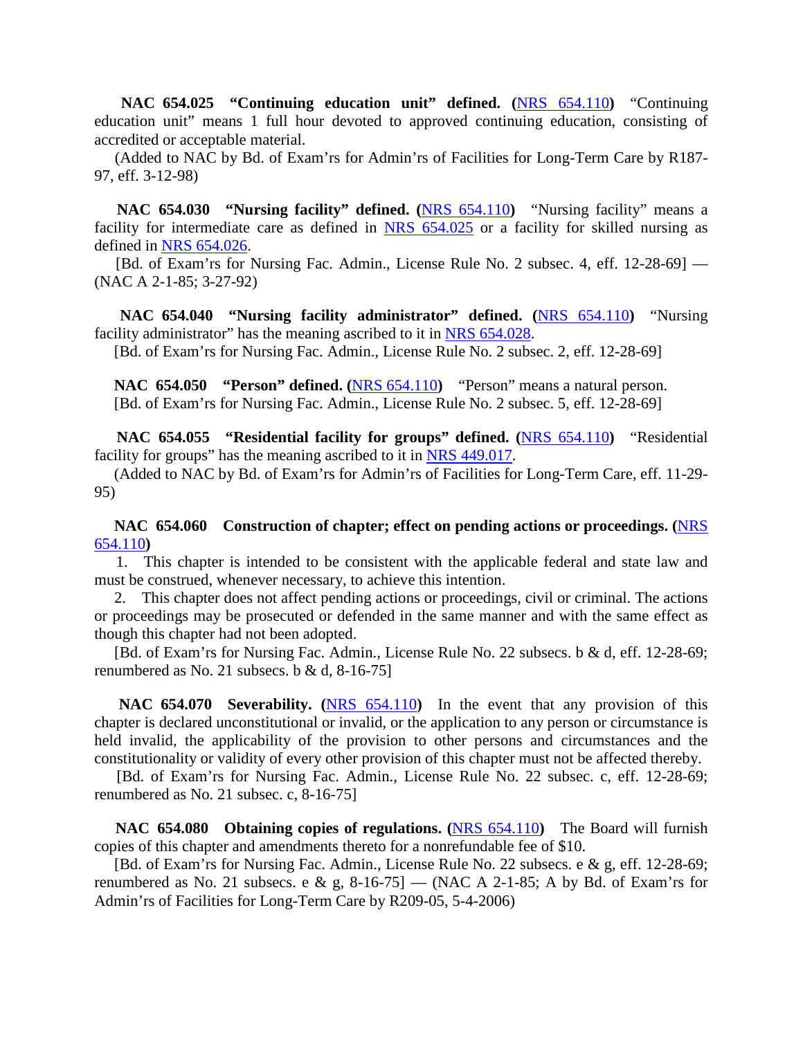**NAC 654.025 "Continuing education unit" defined. (**[NRS 654.110](https://www.leg.state.nv.us/NRS/NRS-654.html#NRS654Sec110)**)** "Continuing education unit" means 1 full hour devoted to approved continuing education, consisting of accredited or acceptable material.

 (Added to NAC by Bd. of Exam'rs for Admin'rs of Facilities for Long-Term Care by R187- 97, eff. 3-12-98)

 **NAC 654.030 "Nursing facility" defined. (**[NRS 654.110](https://www.leg.state.nv.us/NRS/NRS-654.html#NRS654Sec110)**)** "Nursing facility" means a facility for intermediate care as defined in [NRS 654.025](https://www.leg.state.nv.us/NRS/NRS-654.html#NRS654Sec025) or a facility for skilled nursing as defined in [NRS 654.026.](https://www.leg.state.nv.us/NRS/NRS-654.html#NRS654Sec026)

[Bd. of Exam'rs for Nursing Fac. Admin., License Rule No. 2 subsec. 4, eff. 12-28-69] — (NAC A 2-1-85; 3-27-92)

 **NAC 654.040 "Nursing facility administrator" defined. (**[NRS 654.110](https://www.leg.state.nv.us/NRS/NRS-654.html#NRS654Sec110)**)** "Nursing facility administrator" has the meaning ascribed to it in [NRS 654.028.](https://www.leg.state.nv.us/NRS/NRS-654.html#NRS654Sec028)

[Bd. of Exam'rs for Nursing Fac. Admin., License Rule No. 2 subsec. 2, eff. 12-28-69]

 **NAC 654.050 "Person" defined. (**[NRS 654.110](https://www.leg.state.nv.us/NRS/NRS-654.html#NRS654Sec110)**)** "Person" means a natural person. [Bd. of Exam'rs for Nursing Fac. Admin., License Rule No. 2 subsec. 5, eff. 12-28-69]

 **NAC 654.055 "Residential facility for groups" defined. (**[NRS 654.110](https://www.leg.state.nv.us/NRS/NRS-654.html#NRS654Sec110)**)** "Residential facility for groups" has the meaning ascribed to it in [NRS 449.017.](https://www.leg.state.nv.us/NRS/NRS-449.html#NRS449Sec017)

 (Added to NAC by Bd. of Exam'rs for Admin'rs of Facilities for Long-Term Care, eff. 11-29- 95)

 **NAC 654.060 Construction of chapter; effect on pending actions or proceedings. (**[NRS](https://www.leg.state.nv.us/NRS/NRS-654.html#NRS654Sec110)  [654.110](https://www.leg.state.nv.us/NRS/NRS-654.html#NRS654Sec110)**)**

 1. This chapter is intended to be consistent with the applicable federal and state law and must be construed, whenever necessary, to achieve this intention.

 2. This chapter does not affect pending actions or proceedings, civil or criminal. The actions or proceedings may be prosecuted or defended in the same manner and with the same effect as though this chapter had not been adopted.

[Bd. of Exam'rs for Nursing Fac. Admin., License Rule No. 22 subsecs. b & d, eff. 12-28-69; renumbered as No. 21 subsecs. b & d,  $8-16-75$ ]

 **NAC 654.070 Severability. (**[NRS 654.110](https://www.leg.state.nv.us/NRS/NRS-654.html#NRS654Sec110)**)** In the event that any provision of this chapter is declared unconstitutional or invalid, or the application to any person or circumstance is held invalid, the applicability of the provision to other persons and circumstances and the constitutionality or validity of every other provision of this chapter must not be affected thereby.

 [Bd. of Exam'rs for Nursing Fac. Admin., License Rule No. 22 subsec. c, eff. 12-28-69; renumbered as No. 21 subsec. c, 8-16-75]

 **NAC 654.080 Obtaining copies of regulations. (**[NRS 654.110](https://www.leg.state.nv.us/NRS/NRS-654.html#NRS654Sec110)**)** The Board will furnish copies of this chapter and amendments thereto for a nonrefundable fee of \$10.

 [Bd. of Exam'rs for Nursing Fac. Admin., License Rule No. 22 subsecs. e & g, eff. 12-28-69; renumbered as No. 21 subsecs. e & g,  $8-16-75$ ] — (NAC A 2-1-85; A by Bd. of Exam'rs for Admin'rs of Facilities for Long-Term Care by R209-05, 5-4-2006)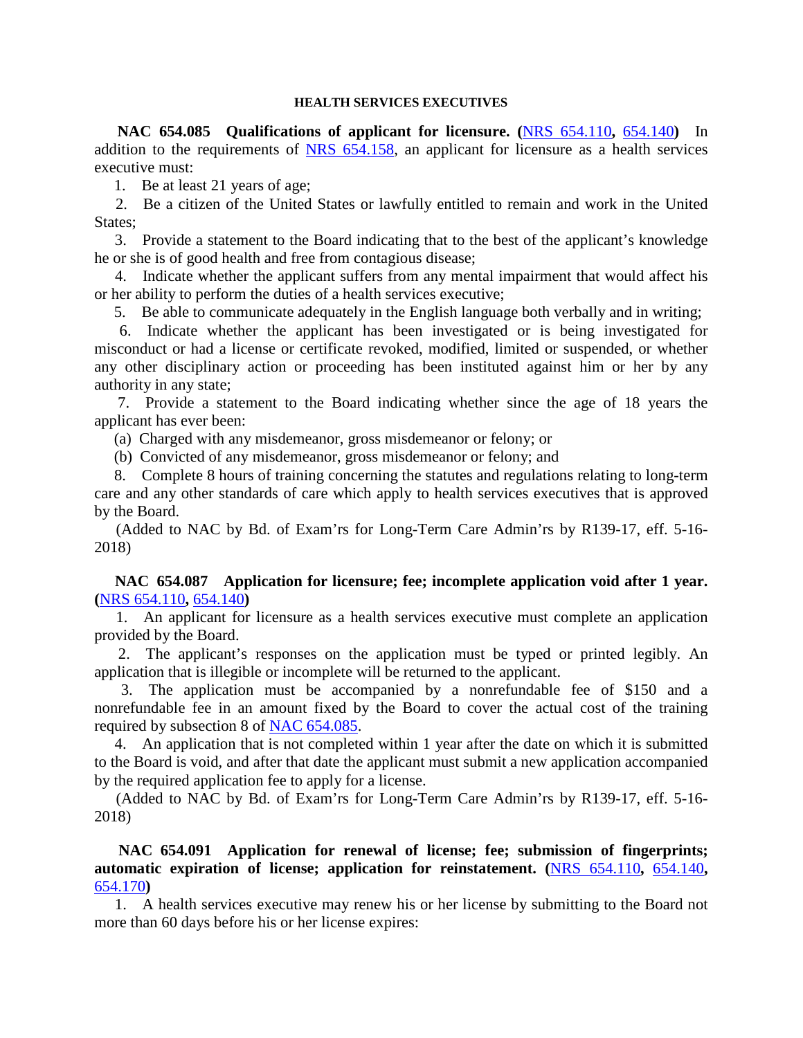### **HEALTH SERVICES EXECUTIVES**

 **NAC 654.085 Qualifications of applicant for licensure. (**[NRS 654.110](https://www.leg.state.nv.us/NRS/NRS-654.html#NRS654Sec110)**,** [654.140](https://www.leg.state.nv.us/NRS/NRS-654.html#NRS654Sec140)**)** In addition to the requirements of [NRS 654.158,](https://www.leg.state.nv.us/NRS/NRS-654.html#NRS654Sec158) an applicant for licensure as a health services executive must:

1. Be at least 21 years of age;

 2. Be a citizen of the United States or lawfully entitled to remain and work in the United States;

 3. Provide a statement to the Board indicating that to the best of the applicant's knowledge he or she is of good health and free from contagious disease;

 4. Indicate whether the applicant suffers from any mental impairment that would affect his or her ability to perform the duties of a health services executive;

5. Be able to communicate adequately in the English language both verbally and in writing;

 6. Indicate whether the applicant has been investigated or is being investigated for misconduct or had a license or certificate revoked, modified, limited or suspended, or whether any other disciplinary action or proceeding has been instituted against him or her by any authority in any state;

 7. Provide a statement to the Board indicating whether since the age of 18 years the applicant has ever been:

(a) Charged with any misdemeanor, gross misdemeanor or felony; or

(b) Convicted of any misdemeanor, gross misdemeanor or felony; and

 8. Complete 8 hours of training concerning the statutes and regulations relating to long-term care and any other standards of care which apply to health services executives that is approved by the Board.

 (Added to NAC by Bd. of Exam'rs for Long-Term Care Admin'rs by R139-17, eff. 5-16- 2018)

 **NAC 654.087 Application for licensure; fee; incomplete application void after 1 year. (**[NRS 654.110](https://www.leg.state.nv.us/NRS/NRS-654.html#NRS654Sec110)**,** [654.140](https://www.leg.state.nv.us/NRS/NRS-654.html#NRS654Sec140)**)**

 1. An applicant for licensure as a health services executive must complete an application provided by the Board.

 2. The applicant's responses on the application must be typed or printed legibly. An application that is illegible or incomplete will be returned to the applicant.

 3. The application must be accompanied by a nonrefundable fee of \$150 and a nonrefundable fee in an amount fixed by the Board to cover the actual cost of the training required by subsection 8 of [NAC 654.085.](https://www.leg.state.nv.us/NAC/NAC-654.html#NAC654Sec085)

 4. An application that is not completed within 1 year after the date on which it is submitted to the Board is void, and after that date the applicant must submit a new application accompanied by the required application fee to apply for a license.

 (Added to NAC by Bd. of Exam'rs for Long-Term Care Admin'rs by R139-17, eff. 5-16- 2018)

 **NAC 654.091 Application for renewal of license; fee; submission of fingerprints; automatic expiration of license; application for reinstatement. (**[NRS 654.110](https://www.leg.state.nv.us/NRS/NRS-654.html#NRS654Sec110)**,** [654.140](https://www.leg.state.nv.us/NRS/NRS-654.html#NRS654Sec140)**,**  [654.170](https://www.leg.state.nv.us/NRS/NRS-654.html#NRS654Sec170)**)**

 1. A health services executive may renew his or her license by submitting to the Board not more than 60 days before his or her license expires: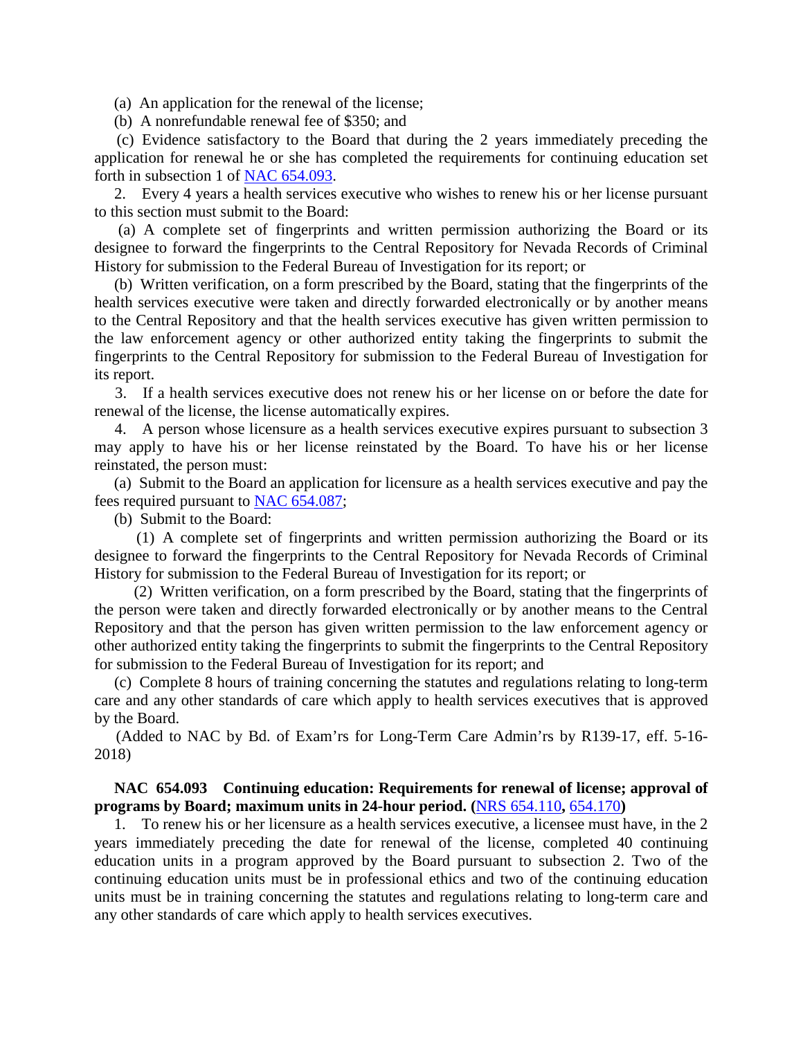(a) An application for the renewal of the license;

(b) A nonrefundable renewal fee of \$350; and

 (c) Evidence satisfactory to the Board that during the 2 years immediately preceding the application for renewal he or she has completed the requirements for continuing education set forth in subsection 1 of [NAC 654.093.](https://www.leg.state.nv.us/NAC/NAC-654.html#NAC654Sec093)

 2. Every 4 years a health services executive who wishes to renew his or her license pursuant to this section must submit to the Board:

 (a) A complete set of fingerprints and written permission authorizing the Board or its designee to forward the fingerprints to the Central Repository for Nevada Records of Criminal History for submission to the Federal Bureau of Investigation for its report; or

 (b) Written verification, on a form prescribed by the Board, stating that the fingerprints of the health services executive were taken and directly forwarded electronically or by another means to the Central Repository and that the health services executive has given written permission to the law enforcement agency or other authorized entity taking the fingerprints to submit the fingerprints to the Central Repository for submission to the Federal Bureau of Investigation for its report.

 3. If a health services executive does not renew his or her license on or before the date for renewal of the license, the license automatically expires.

 4. A person whose licensure as a health services executive expires pursuant to subsection 3 may apply to have his or her license reinstated by the Board. To have his or her license reinstated, the person must:

 (a) Submit to the Board an application for licensure as a health services executive and pay the fees required pursuant to [NAC 654.087;](https://www.leg.state.nv.us/NAC/NAC-654.html#NAC654Sec087)

(b) Submit to the Board:

 (1) A complete set of fingerprints and written permission authorizing the Board or its designee to forward the fingerprints to the Central Repository for Nevada Records of Criminal History for submission to the Federal Bureau of Investigation for its report; or

 (2) Written verification, on a form prescribed by the Board, stating that the fingerprints of the person were taken and directly forwarded electronically or by another means to the Central Repository and that the person has given written permission to the law enforcement agency or other authorized entity taking the fingerprints to submit the fingerprints to the Central Repository for submission to the Federal Bureau of Investigation for its report; and

 (c) Complete 8 hours of training concerning the statutes and regulations relating to long-term care and any other standards of care which apply to health services executives that is approved by the Board.

 (Added to NAC by Bd. of Exam'rs for Long-Term Care Admin'rs by R139-17, eff. 5-16- 2018)

# **NAC 654.093 Continuing education: Requirements for renewal of license; approval of programs by Board; maximum units in 24-hour period. (**[NRS 654.110](https://www.leg.state.nv.us/NRS/NRS-654.html#NRS654Sec110)**,** [654.170](https://www.leg.state.nv.us/NRS/NRS-654.html#NRS654Sec170)**)**

 1. To renew his or her licensure as a health services executive, a licensee must have, in the 2 years immediately preceding the date for renewal of the license, completed 40 continuing education units in a program approved by the Board pursuant to subsection 2. Two of the continuing education units must be in professional ethics and two of the continuing education units must be in training concerning the statutes and regulations relating to long-term care and any other standards of care which apply to health services executives.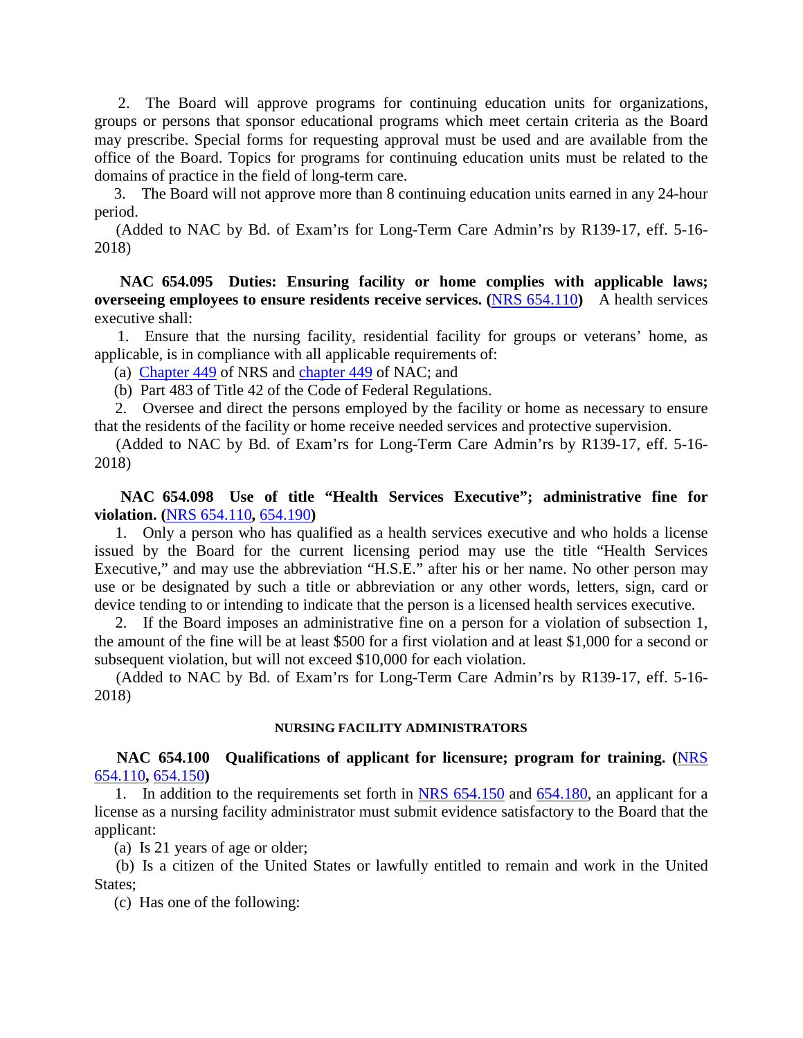2. The Board will approve programs for continuing education units for organizations, groups or persons that sponsor educational programs which meet certain criteria as the Board may prescribe. Special forms for requesting approval must be used and are available from the office of the Board. Topics for programs for continuing education units must be related to the domains of practice in the field of long-term care.

 3. The Board will not approve more than 8 continuing education units earned in any 24-hour period.

 (Added to NAC by Bd. of Exam'rs for Long-Term Care Admin'rs by R139-17, eff. 5-16- 2018)

 **NAC 654.095 Duties: Ensuring facility or home complies with applicable laws; overseeing employees to ensure residents receive services. (**[NRS 654.110](https://www.leg.state.nv.us/NRS/NRS-654.html#NRS654Sec110)**)** A health services executive shall:

 1. Ensure that the nursing facility, residential facility for groups or veterans' home, as applicable, is in compliance with all applicable requirements of:

(a) [Chapter 449](https://www.leg.state.nv.us/NRS/NRS-449.html#NRS449) of NRS and [chapter 449](https://www.leg.state.nv.us/NAC/NAC-449.html#NAC449) of NAC; and

(b) Part 483 of Title 42 of the Code of Federal Regulations.

 2. Oversee and direct the persons employed by the facility or home as necessary to ensure that the residents of the facility or home receive needed services and protective supervision.

 (Added to NAC by Bd. of Exam'rs for Long-Term Care Admin'rs by R139-17, eff. 5-16- 2018)

 **NAC 654.098 Use of title "Health Services Executive"; administrative fine for violation. (**[NRS 654.110](https://www.leg.state.nv.us/NRS/NRS-654.html#NRS654Sec110)**,** [654.190](https://www.leg.state.nv.us/NRS/NRS-654.html#NRS654Sec190)**)**

 1. Only a person who has qualified as a health services executive and who holds a license issued by the Board for the current licensing period may use the title "Health Services Executive," and may use the abbreviation "H.S.E." after his or her name. No other person may use or be designated by such a title or abbreviation or any other words, letters, sign, card or device tending to or intending to indicate that the person is a licensed health services executive.

 2. If the Board imposes an administrative fine on a person for a violation of subsection 1, the amount of the fine will be at least \$500 for a first violation and at least \$1,000 for a second or subsequent violation, but will not exceed \$10,000 for each violation.

 (Added to NAC by Bd. of Exam'rs for Long-Term Care Admin'rs by R139-17, eff. 5-16- 2018)

#### **NURSING FACILITY ADMINISTRATORS**

 **NAC 654.100 Qualifications of applicant for licensure; program for training. (**[NRS](https://www.leg.state.nv.us/NRS/NRS-654.html#NRS654Sec110)  [654.110](https://www.leg.state.nv.us/NRS/NRS-654.html#NRS654Sec110)**,** [654.150](https://www.leg.state.nv.us/NRS/NRS-654.html#NRS654Sec150)**)**

 1. In addition to the requirements set forth in [NRS 654.150](https://www.leg.state.nv.us/NRS/NRS-654.html#NRS654Sec150) and [654.180,](https://www.leg.state.nv.us/NRS/NRS-654.html#NRS654Sec180) an applicant for a license as a nursing facility administrator must submit evidence satisfactory to the Board that the applicant:

(a) Is 21 years of age or older;

 (b) Is a citizen of the United States or lawfully entitled to remain and work in the United States;

(c) Has one of the following: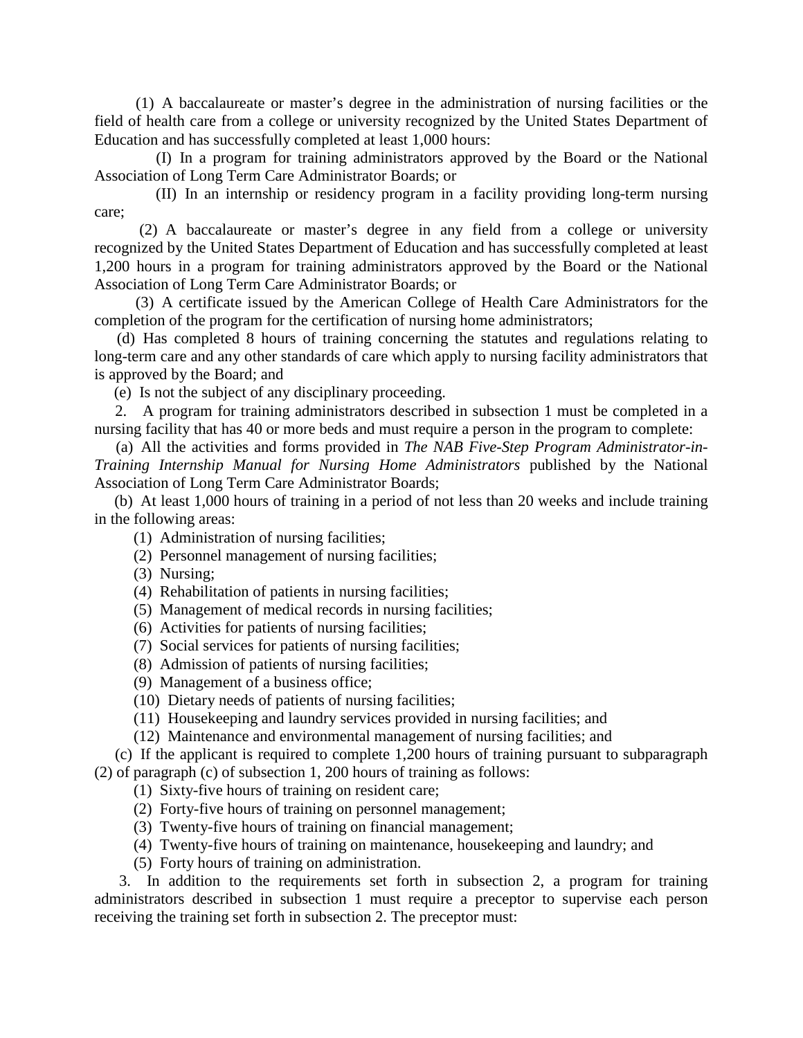(1) A baccalaureate or master's degree in the administration of nursing facilities or the field of health care from a college or university recognized by the United States Department of Education and has successfully completed at least 1,000 hours:

 (I) In a program for training administrators approved by the Board or the National Association of Long Term Care Administrator Boards; or

 (II) In an internship or residency program in a facility providing long-term nursing care;

 (2) A baccalaureate or master's degree in any field from a college or university recognized by the United States Department of Education and has successfully completed at least 1,200 hours in a program for training administrators approved by the Board or the National Association of Long Term Care Administrator Boards; or

 (3) A certificate issued by the American College of Health Care Administrators for the completion of the program for the certification of nursing home administrators;

 (d) Has completed 8 hours of training concerning the statutes and regulations relating to long-term care and any other standards of care which apply to nursing facility administrators that is approved by the Board; and

(e) Is not the subject of any disciplinary proceeding.

 2. A program for training administrators described in subsection 1 must be completed in a nursing facility that has 40 or more beds and must require a person in the program to complete:

 (a) All the activities and forms provided in *The NAB Five-Step Program Administrator-in-Training Internship Manual for Nursing Home Administrators* published by the National Association of Long Term Care Administrator Boards;

 (b) At least 1,000 hours of training in a period of not less than 20 weeks and include training in the following areas:

- (1) Administration of nursing facilities;
- (2) Personnel management of nursing facilities;
- (3) Nursing;
- (4) Rehabilitation of patients in nursing facilities;
- (5) Management of medical records in nursing facilities;
- (6) Activities for patients of nursing facilities;
- (7) Social services for patients of nursing facilities;
- (8) Admission of patients of nursing facilities;
- (9) Management of a business office;
- (10) Dietary needs of patients of nursing facilities;
- (11) Housekeeping and laundry services provided in nursing facilities; and
- (12) Maintenance and environmental management of nursing facilities; and

 (c) If the applicant is required to complete 1,200 hours of training pursuant to subparagraph (2) of paragraph (c) of subsection 1, 200 hours of training as follows:

- (1) Sixty-five hours of training on resident care;
- (2) Forty-five hours of training on personnel management;
- (3) Twenty-five hours of training on financial management;
- (4) Twenty-five hours of training on maintenance, housekeeping and laundry; and
- (5) Forty hours of training on administration.

 3. In addition to the requirements set forth in subsection 2, a program for training administrators described in subsection 1 must require a preceptor to supervise each person receiving the training set forth in subsection 2. The preceptor must: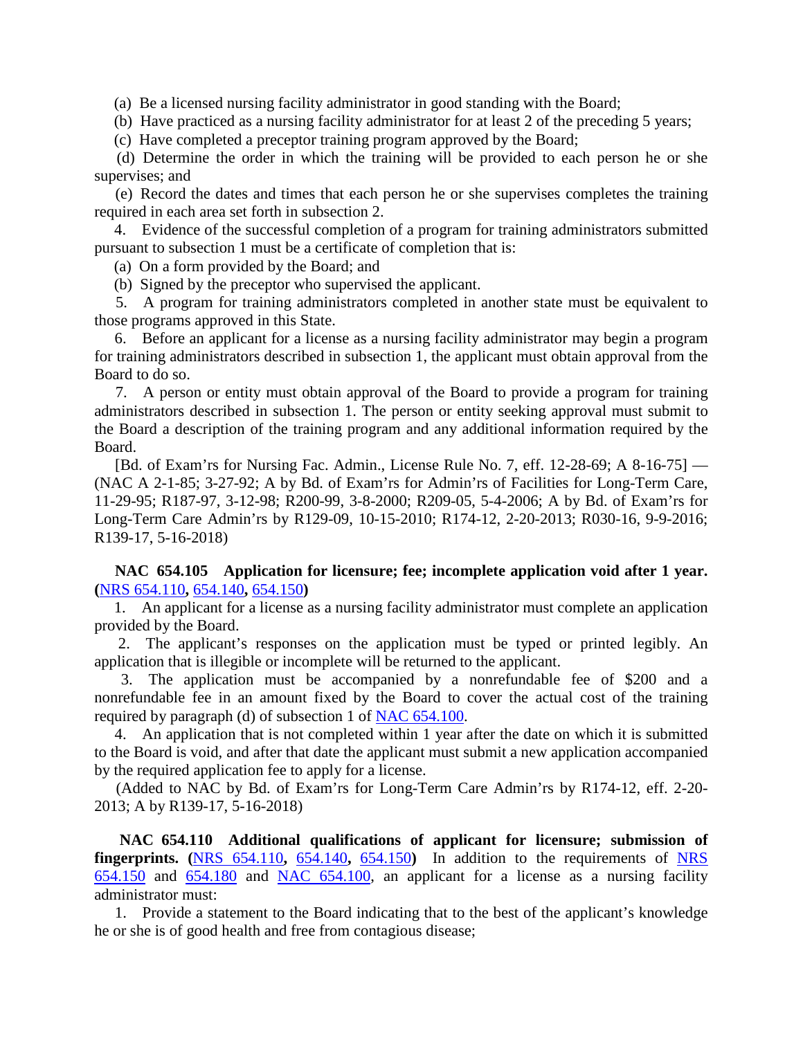(a) Be a licensed nursing facility administrator in good standing with the Board;

(b) Have practiced as a nursing facility administrator for at least 2 of the preceding 5 years;

(c) Have completed a preceptor training program approved by the Board;

 (d) Determine the order in which the training will be provided to each person he or she supervises; and

 (e) Record the dates and times that each person he or she supervises completes the training required in each area set forth in subsection 2.

 4. Evidence of the successful completion of a program for training administrators submitted pursuant to subsection 1 must be a certificate of completion that is:

(a) On a form provided by the Board; and

(b) Signed by the preceptor who supervised the applicant.

 5. A program for training administrators completed in another state must be equivalent to those programs approved in this State.

 6. Before an applicant for a license as a nursing facility administrator may begin a program for training administrators described in subsection 1, the applicant must obtain approval from the Board to do so.

 7. A person or entity must obtain approval of the Board to provide a program for training administrators described in subsection 1. The person or entity seeking approval must submit to the Board a description of the training program and any additional information required by the Board.

 [Bd. of Exam'rs for Nursing Fac. Admin., License Rule No. 7, eff. 12-28-69; A 8-16-75] — (NAC A 2-1-85; 3-27-92; A by Bd. of Exam'rs for Admin'rs of Facilities for Long-Term Care, 11-29-95; R187-97, 3-12-98; R200-99, 3-8-2000; R209-05, 5-4-2006; A by Bd. of Exam'rs for Long-Term Care Admin'rs by R129-09, 10-15-2010; R174-12, 2-20-2013; R030-16, 9-9-2016; R139-17, 5-16-2018)

 **NAC 654.105 Application for licensure; fee; incomplete application void after 1 year. (**[NRS 654.110](https://www.leg.state.nv.us/NRS/NRS-654.html#NRS654Sec110)**,** [654.140](https://www.leg.state.nv.us/NRS/NRS-654.html#NRS654Sec140)**,** [654.150](https://www.leg.state.nv.us/NRS/NRS-654.html#NRS654Sec150)**)**

 1. An applicant for a license as a nursing facility administrator must complete an application provided by the Board.

 2. The applicant's responses on the application must be typed or printed legibly. An application that is illegible or incomplete will be returned to the applicant.

 3. The application must be accompanied by a nonrefundable fee of \$200 and a nonrefundable fee in an amount fixed by the Board to cover the actual cost of the training required by paragraph (d) of subsection 1 of [NAC 654.100.](https://www.leg.state.nv.us/NAC/NAC-654.html#NAC654Sec100)

 4. An application that is not completed within 1 year after the date on which it is submitted to the Board is void, and after that date the applicant must submit a new application accompanied by the required application fee to apply for a license.

 (Added to NAC by Bd. of Exam'rs for Long-Term Care Admin'rs by R174-12, eff. 2-20- 2013; A by R139-17, 5-16-2018)

 **NAC 654.110 Additional qualifications of applicant for licensure; submission of fingerprints. (**[NRS 654.110](https://www.leg.state.nv.us/NRS/NRS-654.html#NRS654Sec110)**,** [654.140](https://www.leg.state.nv.us/NRS/NRS-654.html#NRS654Sec140)**,** [654.150](https://www.leg.state.nv.us/NRS/NRS-654.html#NRS654Sec150)**)** In addition to the requirements of [NRS](https://www.leg.state.nv.us/NRS/NRS-654.html#NRS654Sec150)  [654.150](https://www.leg.state.nv.us/NRS/NRS-654.html#NRS654Sec150) and [654.180](https://www.leg.state.nv.us/NRS/NRS-654.html#NRS654Sec180) and [NAC 654.100,](https://www.leg.state.nv.us/NAC/NAC-654.html#NAC654Sec100) an applicant for a license as a nursing facility administrator must:

 1. Provide a statement to the Board indicating that to the best of the applicant's knowledge he or she is of good health and free from contagious disease;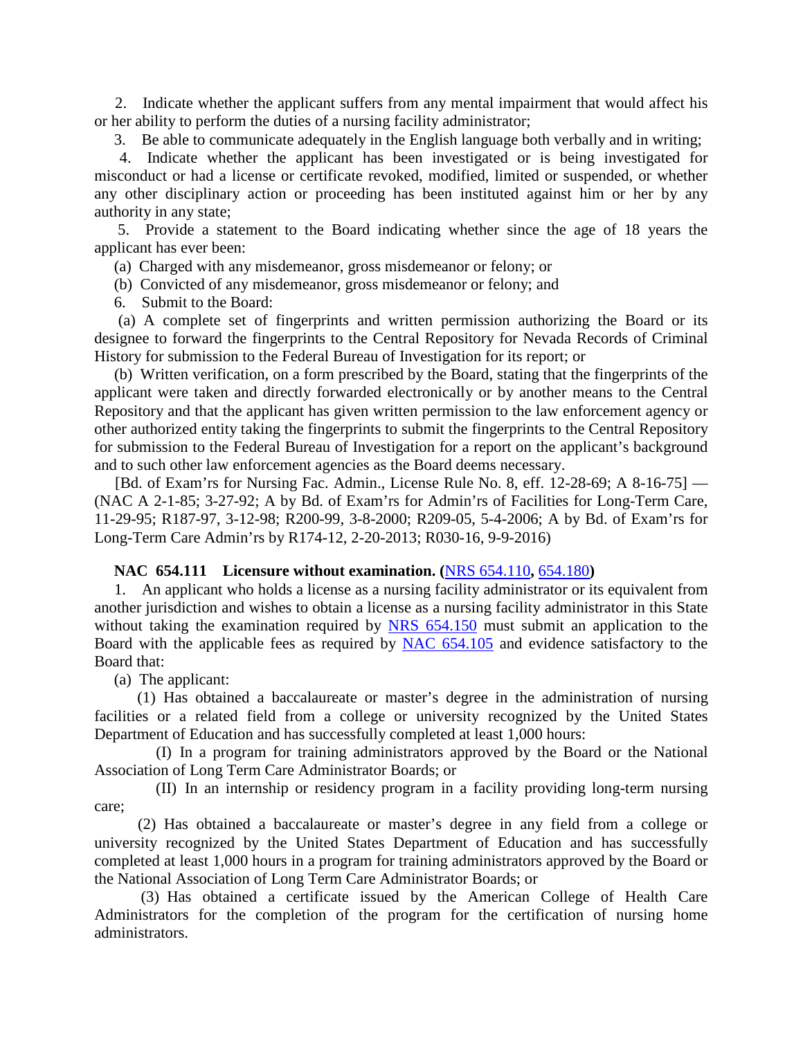2. Indicate whether the applicant suffers from any mental impairment that would affect his or her ability to perform the duties of a nursing facility administrator;

3. Be able to communicate adequately in the English language both verbally and in writing;

 4. Indicate whether the applicant has been investigated or is being investigated for misconduct or had a license or certificate revoked, modified, limited or suspended, or whether any other disciplinary action or proceeding has been instituted against him or her by any authority in any state;

 5. Provide a statement to the Board indicating whether since the age of 18 years the applicant has ever been:

(a) Charged with any misdemeanor, gross misdemeanor or felony; or

(b) Convicted of any misdemeanor, gross misdemeanor or felony; and

6. Submit to the Board:

 (a) A complete set of fingerprints and written permission authorizing the Board or its designee to forward the fingerprints to the Central Repository for Nevada Records of Criminal History for submission to the Federal Bureau of Investigation for its report; or

 (b) Written verification, on a form prescribed by the Board, stating that the fingerprints of the applicant were taken and directly forwarded electronically or by another means to the Central Repository and that the applicant has given written permission to the law enforcement agency or other authorized entity taking the fingerprints to submit the fingerprints to the Central Repository for submission to the Federal Bureau of Investigation for a report on the applicant's background and to such other law enforcement agencies as the Board deems necessary.

 [Bd. of Exam'rs for Nursing Fac. Admin., License Rule No. 8, eff. 12-28-69; A 8-16-75] — (NAC A 2-1-85; 3-27-92; A by Bd. of Exam'rs for Admin'rs of Facilities for Long-Term Care, 11-29-95; R187-97, 3-12-98; R200-99, 3-8-2000; R209-05, 5-4-2006; A by Bd. of Exam'rs for Long-Term Care Admin'rs by R174-12, 2-20-2013; R030-16, 9-9-2016)

## **NAC 654.111 Licensure without examination. (**[NRS 654.110](https://www.leg.state.nv.us/NRS/NRS-654.html#NRS654Sec110)**,** [654.180](https://www.leg.state.nv.us/NRS/NRS-654.html#NRS654Sec180)**)**

 1. An applicant who holds a license as a nursing facility administrator or its equivalent from another jurisdiction and wishes to obtain a license as a nursing facility administrator in this State without taking the examination required by [NRS 654.150](https://www.leg.state.nv.us/NRS/NRS-654.html#NRS654Sec150) must submit an application to the Board with the applicable fees as required by [NAC 654.105](https://www.leg.state.nv.us/NAC/NAC-654.html#NAC654Sec105) and evidence satisfactory to the Board that:

(a) The applicant:

 (1) Has obtained a baccalaureate or master's degree in the administration of nursing facilities or a related field from a college or university recognized by the United States Department of Education and has successfully completed at least 1,000 hours:

 (I) In a program for training administrators approved by the Board or the National Association of Long Term Care Administrator Boards; or

 (II) In an internship or residency program in a facility providing long-term nursing care;

 (2) Has obtained a baccalaureate or master's degree in any field from a college or university recognized by the United States Department of Education and has successfully completed at least 1,000 hours in a program for training administrators approved by the Board or the National Association of Long Term Care Administrator Boards; or

 (3) Has obtained a certificate issued by the American College of Health Care Administrators for the completion of the program for the certification of nursing home administrators.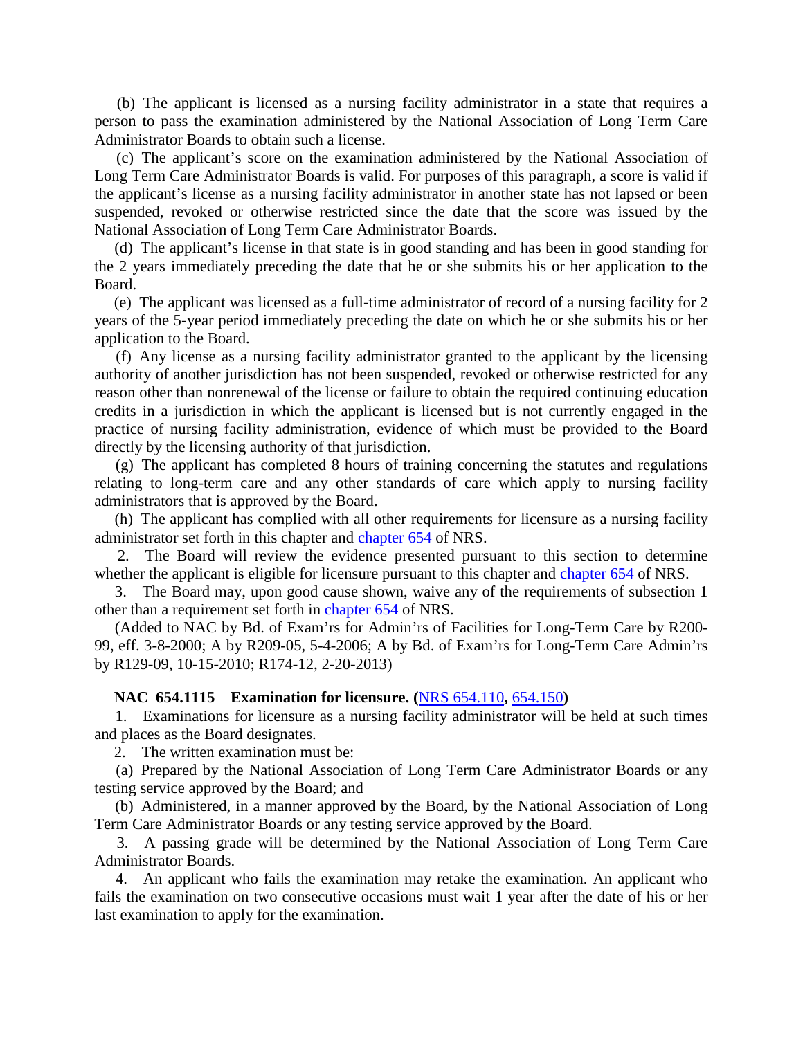(b) The applicant is licensed as a nursing facility administrator in a state that requires a person to pass the examination administered by the National Association of Long Term Care Administrator Boards to obtain such a license.

 (c) The applicant's score on the examination administered by the National Association of Long Term Care Administrator Boards is valid. For purposes of this paragraph, a score is valid if the applicant's license as a nursing facility administrator in another state has not lapsed or been suspended, revoked or otherwise restricted since the date that the score was issued by the National Association of Long Term Care Administrator Boards.

 (d) The applicant's license in that state is in good standing and has been in good standing for the 2 years immediately preceding the date that he or she submits his or her application to the Board.

 (e) The applicant was licensed as a full-time administrator of record of a nursing facility for 2 years of the 5-year period immediately preceding the date on which he or she submits his or her application to the Board.

 (f) Any license as a nursing facility administrator granted to the applicant by the licensing authority of another jurisdiction has not been suspended, revoked or otherwise restricted for any reason other than nonrenewal of the license or failure to obtain the required continuing education credits in a jurisdiction in which the applicant is licensed but is not currently engaged in the practice of nursing facility administration, evidence of which must be provided to the Board directly by the licensing authority of that jurisdiction.

 (g) The applicant has completed 8 hours of training concerning the statutes and regulations relating to long-term care and any other standards of care which apply to nursing facility administrators that is approved by the Board.

 (h) The applicant has complied with all other requirements for licensure as a nursing facility administrator set forth in this chapter and [chapter 654](https://www.leg.state.nv.us/NRS/NRS-654.html#NRS654) of NRS.

 2. The Board will review the evidence presented pursuant to this section to determine whether the applicant is eligible for licensure pursuant to this chapter and [chapter 654](https://www.leg.state.nv.us/NRS/NRS-654.html#NRS654) of NRS.

 3. The Board may, upon good cause shown, waive any of the requirements of subsection 1 other than a requirement set forth in [chapter 654](https://www.leg.state.nv.us/NRS/NRS-654.html#NRS654) of NRS.

 (Added to NAC by Bd. of Exam'rs for Admin'rs of Facilities for Long-Term Care by R200- 99, eff. 3-8-2000; A by R209-05, 5-4-2006; A by Bd. of Exam'rs for Long-Term Care Admin'rs by R129-09, 10-15-2010; R174-12, 2-20-2013)

## **NAC 654.1115 Examination for licensure. (**[NRS 654.110](https://www.leg.state.nv.us/NRS/NRS-654.html#NRS654Sec110)**,** [654.150](https://www.leg.state.nv.us/NRS/NRS-654.html#NRS654Sec150)**)**

 1. Examinations for licensure as a nursing facility administrator will be held at such times and places as the Board designates.

2. The written examination must be:

 (a) Prepared by the National Association of Long Term Care Administrator Boards or any testing service approved by the Board; and

 (b) Administered, in a manner approved by the Board, by the National Association of Long Term Care Administrator Boards or any testing service approved by the Board.

 3. A passing grade will be determined by the National Association of Long Term Care Administrator Boards.

 4. An applicant who fails the examination may retake the examination. An applicant who fails the examination on two consecutive occasions must wait 1 year after the date of his or her last examination to apply for the examination.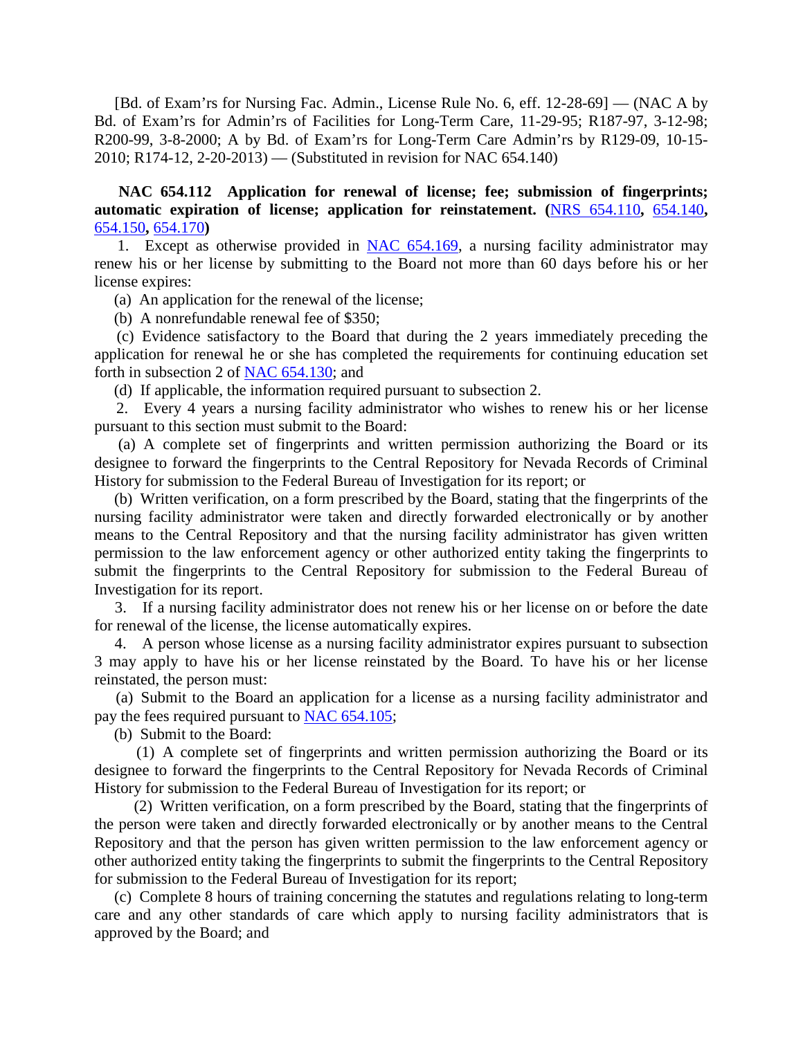[Bd. of Exam'rs for Nursing Fac. Admin., License Rule No. 6, eff. 12-28-69] — (NAC A by Bd. of Exam'rs for Admin'rs of Facilities for Long-Term Care, 11-29-95; R187-97, 3-12-98; R200-99, 3-8-2000; A by Bd. of Exam'rs for Long-Term Care Admin'rs by R129-09, 10-15- 2010; R174-12, 2-20-2013) — (Substituted in revision for NAC 654.140)

 **NAC 654.112 Application for renewal of license; fee; submission of fingerprints; automatic expiration of license; application for reinstatement. (**[NRS 654.110](https://www.leg.state.nv.us/NRS/NRS-654.html#NRS654Sec110)**,** [654.140](https://www.leg.state.nv.us/NRS/NRS-654.html#NRS654Sec140)**,**  [654.150](https://www.leg.state.nv.us/NRS/NRS-654.html#NRS654Sec150)**,** [654.170](https://www.leg.state.nv.us/NRS/NRS-654.html#NRS654Sec170)**)**

1. Except as otherwise provided in [NAC 654.169,](https://www.leg.state.nv.us/NAC/NAC-654.html#NAC654Sec169) a nursing facility administrator may renew his or her license by submitting to the Board not more than 60 days before his or her license expires:

(a) An application for the renewal of the license;

(b) A nonrefundable renewal fee of \$350;

 (c) Evidence satisfactory to the Board that during the 2 years immediately preceding the application for renewal he or she has completed the requirements for continuing education set forth in subsection 2 of [NAC 654.130;](https://www.leg.state.nv.us/NAC/NAC-654.html#NAC654Sec130) and

(d) If applicable, the information required pursuant to subsection 2.

 2. Every 4 years a nursing facility administrator who wishes to renew his or her license pursuant to this section must submit to the Board:

 (a) A complete set of fingerprints and written permission authorizing the Board or its designee to forward the fingerprints to the Central Repository for Nevada Records of Criminal History for submission to the Federal Bureau of Investigation for its report; or

 (b) Written verification, on a form prescribed by the Board, stating that the fingerprints of the nursing facility administrator were taken and directly forwarded electronically or by another means to the Central Repository and that the nursing facility administrator has given written permission to the law enforcement agency or other authorized entity taking the fingerprints to submit the fingerprints to the Central Repository for submission to the Federal Bureau of Investigation for its report.

 3. If a nursing facility administrator does not renew his or her license on or before the date for renewal of the license, the license automatically expires.

 4. A person whose license as a nursing facility administrator expires pursuant to subsection 3 may apply to have his or her license reinstated by the Board. To have his or her license reinstated, the person must:

 (a) Submit to the Board an application for a license as a nursing facility administrator and pay the fees required pursuant to [NAC 654.105;](https://www.leg.state.nv.us/NAC/NAC-654.html#NAC654Sec105)

(b) Submit to the Board:

 (1) A complete set of fingerprints and written permission authorizing the Board or its designee to forward the fingerprints to the Central Repository for Nevada Records of Criminal History for submission to the Federal Bureau of Investigation for its report; or

 (2) Written verification, on a form prescribed by the Board, stating that the fingerprints of the person were taken and directly forwarded electronically or by another means to the Central Repository and that the person has given written permission to the law enforcement agency or other authorized entity taking the fingerprints to submit the fingerprints to the Central Repository for submission to the Federal Bureau of Investigation for its report;

 (c) Complete 8 hours of training concerning the statutes and regulations relating to long-term care and any other standards of care which apply to nursing facility administrators that is approved by the Board; and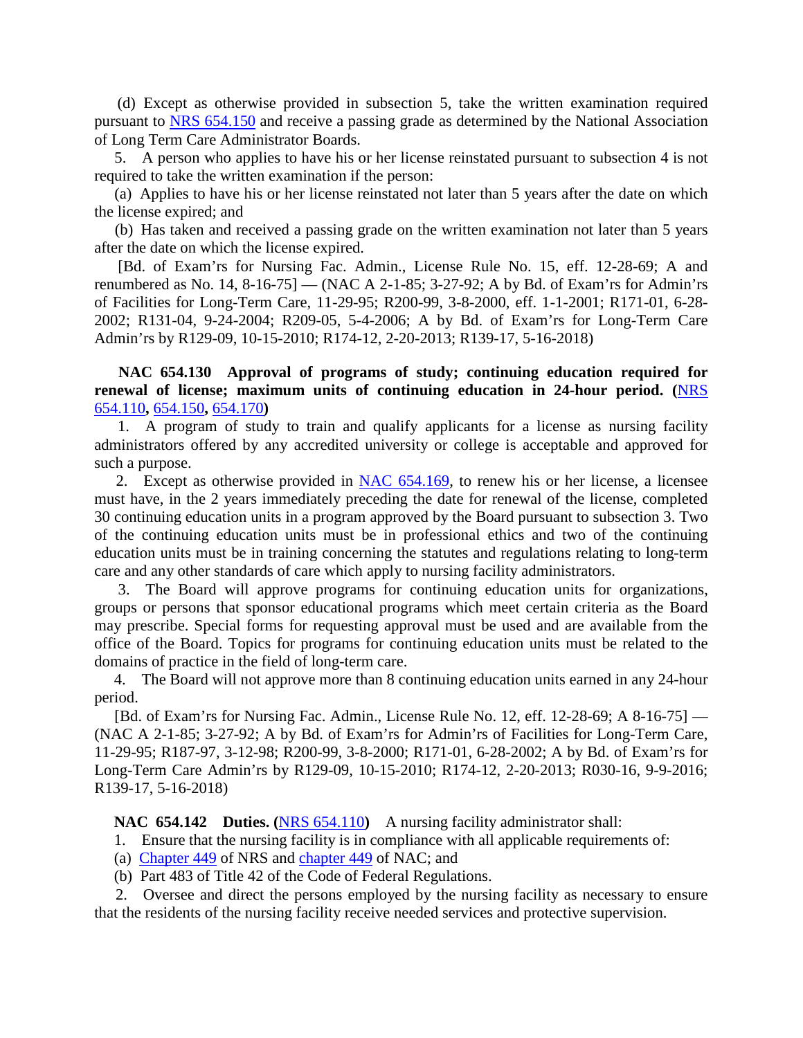(d) Except as otherwise provided in subsection 5, take the written examination required pursuant to [NRS 654.150](https://www.leg.state.nv.us/NRS/NRS-654.html#NRS654Sec150) and receive a passing grade as determined by the National Association of Long Term Care Administrator Boards.

 5. A person who applies to have his or her license reinstated pursuant to subsection 4 is not required to take the written examination if the person:

 (a) Applies to have his or her license reinstated not later than 5 years after the date on which the license expired; and

 (b) Has taken and received a passing grade on the written examination not later than 5 years after the date on which the license expired.

 [Bd. of Exam'rs for Nursing Fac. Admin., License Rule No. 15, eff. 12-28-69; A and renumbered as No. 14, 8-16-75] — (NAC A 2-1-85; 3-27-92; A by Bd. of Exam'rs for Admin'rs of Facilities for Long-Term Care, 11-29-95; R200-99, 3-8-2000, eff. 1-1-2001; R171-01, 6-28- 2002; R131-04, 9-24-2004; R209-05, 5-4-2006; A by Bd. of Exam'rs for Long-Term Care Admin'rs by R129-09, 10-15-2010; R174-12, 2-20-2013; R139-17, 5-16-2018)

# **NAC 654.130 Approval of programs of study; continuing education required for renewal of license; maximum units of continuing education in 24-hour period. (**[NRS](https://www.leg.state.nv.us/NRS/NRS-654.html#NRS654Sec110)  [654.110](https://www.leg.state.nv.us/NRS/NRS-654.html#NRS654Sec110)**,** [654.150](https://www.leg.state.nv.us/NRS/NRS-654.html#NRS654Sec150)**,** [654.170](https://www.leg.state.nv.us/NRS/NRS-654.html#NRS654Sec170)**)**

 1. A program of study to train and qualify applicants for a license as nursing facility administrators offered by any accredited university or college is acceptable and approved for such a purpose.

2. Except as otherwise provided in  $NAC$  654.169, to renew his or her license, a licensee must have, in the 2 years immediately preceding the date for renewal of the license, completed 30 continuing education units in a program approved by the Board pursuant to subsection 3. Two of the continuing education units must be in professional ethics and two of the continuing education units must be in training concerning the statutes and regulations relating to long-term care and any other standards of care which apply to nursing facility administrators.

 3. The Board will approve programs for continuing education units for organizations, groups or persons that sponsor educational programs which meet certain criteria as the Board may prescribe. Special forms for requesting approval must be used and are available from the office of the Board. Topics for programs for continuing education units must be related to the domains of practice in the field of long-term care.

 4. The Board will not approve more than 8 continuing education units earned in any 24-hour period.

 [Bd. of Exam'rs for Nursing Fac. Admin., License Rule No. 12, eff. 12-28-69; A 8-16-75] — (NAC A 2-1-85; 3-27-92; A by Bd. of Exam'rs for Admin'rs of Facilities for Long-Term Care, 11-29-95; R187-97, 3-12-98; R200-99, 3-8-2000; R171-01, 6-28-2002; A by Bd. of Exam'rs for Long-Term Care Admin'rs by R129-09, 10-15-2010; R174-12, 2-20-2013; R030-16, 9-9-2016; R139-17, 5-16-2018)

**NAC 654.142 Duties. (**[NRS 654.110](https://www.leg.state.nv.us/NRS/NRS-654.html#NRS654Sec110)**)** A nursing facility administrator shall:

- 1. Ensure that the nursing facility is in compliance with all applicable requirements of:
- (a) [Chapter 449](https://www.leg.state.nv.us/NRS/NRS-449.html#NRS449) of NRS and [chapter 449](https://www.leg.state.nv.us/NAC/NAC-449.html#NAC449) of NAC; and
- (b) Part 483 of Title 42 of the Code of Federal Regulations.

 2. Oversee and direct the persons employed by the nursing facility as necessary to ensure that the residents of the nursing facility receive needed services and protective supervision.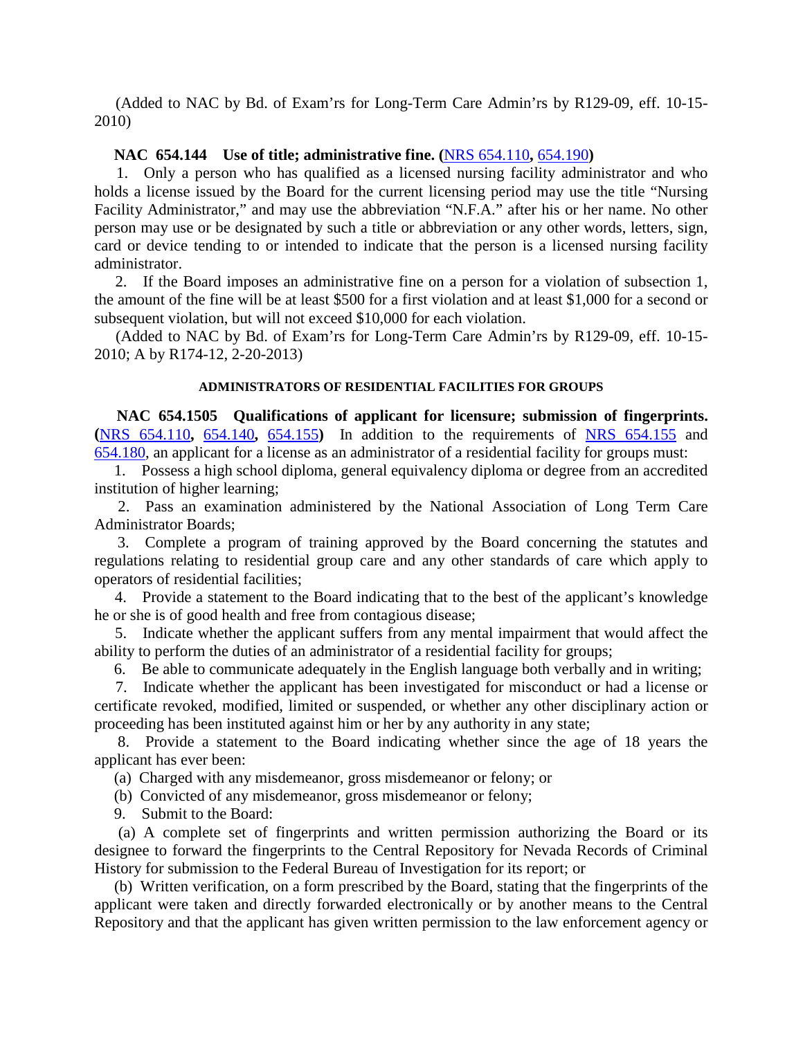(Added to NAC by Bd. of Exam'rs for Long-Term Care Admin'rs by R129-09, eff. 10-15- 2010)

## **NAC 654.144 Use of title; administrative fine. (**[NRS 654.110](https://www.leg.state.nv.us/NRS/NRS-654.html#NRS654Sec110)**,** [654.190](https://www.leg.state.nv.us/NRS/NRS-654.html#NRS654Sec190)**)**

 1. Only a person who has qualified as a licensed nursing facility administrator and who holds a license issued by the Board for the current licensing period may use the title "Nursing Facility Administrator," and may use the abbreviation "N.F.A." after his or her name. No other person may use or be designated by such a title or abbreviation or any other words, letters, sign, card or device tending to or intended to indicate that the person is a licensed nursing facility administrator.

 2. If the Board imposes an administrative fine on a person for a violation of subsection 1, the amount of the fine will be at least \$500 for a first violation and at least \$1,000 for a second or subsequent violation, but will not exceed \$10,000 for each violation.

 (Added to NAC by Bd. of Exam'rs for Long-Term Care Admin'rs by R129-09, eff. 10-15- 2010; A by R174-12, 2-20-2013)

### **ADMINISTRATORS OF RESIDENTIAL FACILITIES FOR GROUPS**

 **NAC 654.1505 Qualifications of applicant for licensure; submission of fingerprints. (**[NRS 654.110](https://www.leg.state.nv.us/NRS/NRS-654.html#NRS654Sec110)**,** [654.140](https://www.leg.state.nv.us/NRS/NRS-654.html#NRS654Sec140)**,** [654.155](https://www.leg.state.nv.us/NRS/NRS-654.html#NRS654Sec155)**)** In addition to the requirements of [NRS 654.155](https://www.leg.state.nv.us/NRS/NRS-654.html#NRS654Sec155) and [654.180,](https://www.leg.state.nv.us/NRS/NRS-654.html#NRS654Sec180) an applicant for a license as an administrator of a residential facility for groups must:

 1. Possess a high school diploma, general equivalency diploma or degree from an accredited institution of higher learning;

 2. Pass an examination administered by the National Association of Long Term Care Administrator Boards;

 3. Complete a program of training approved by the Board concerning the statutes and regulations relating to residential group care and any other standards of care which apply to operators of residential facilities;

 4. Provide a statement to the Board indicating that to the best of the applicant's knowledge he or she is of good health and free from contagious disease;

 5. Indicate whether the applicant suffers from any mental impairment that would affect the ability to perform the duties of an administrator of a residential facility for groups;

6. Be able to communicate adequately in the English language both verbally and in writing;

 7. Indicate whether the applicant has been investigated for misconduct or had a license or certificate revoked, modified, limited or suspended, or whether any other disciplinary action or proceeding has been instituted against him or her by any authority in any state;

 8. Provide a statement to the Board indicating whether since the age of 18 years the applicant has ever been:

(a) Charged with any misdemeanor, gross misdemeanor or felony; or

(b) Convicted of any misdemeanor, gross misdemeanor or felony;

9. Submit to the Board:

 (a) A complete set of fingerprints and written permission authorizing the Board or its designee to forward the fingerprints to the Central Repository for Nevada Records of Criminal History for submission to the Federal Bureau of Investigation for its report; or

 (b) Written verification, on a form prescribed by the Board, stating that the fingerprints of the applicant were taken and directly forwarded electronically or by another means to the Central Repository and that the applicant has given written permission to the law enforcement agency or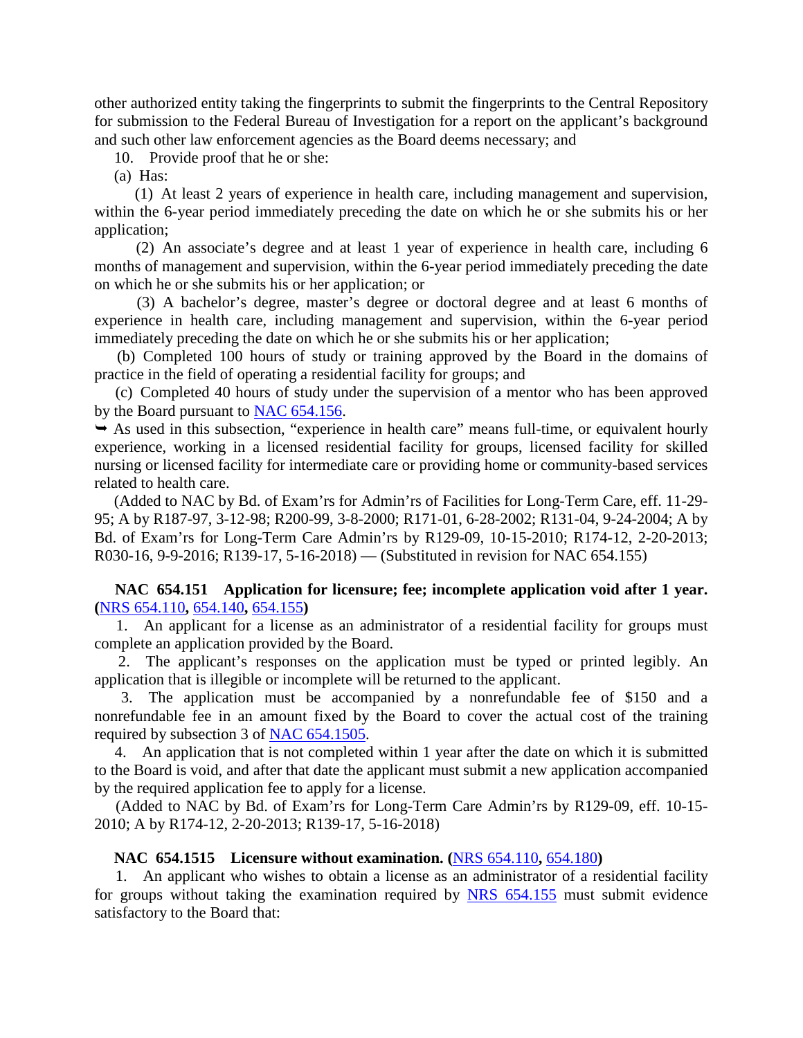other authorized entity taking the fingerprints to submit the fingerprints to the Central Repository for submission to the Federal Bureau of Investigation for a report on the applicant's background and such other law enforcement agencies as the Board deems necessary; and

10. Provide proof that he or she:

(a) Has:

 (1) At least 2 years of experience in health care, including management and supervision, within the 6-year period immediately preceding the date on which he or she submits his or her application;

 (2) An associate's degree and at least 1 year of experience in health care, including 6 months of management and supervision, within the 6-year period immediately preceding the date on which he or she submits his or her application; or

 (3) A bachelor's degree, master's degree or doctoral degree and at least 6 months of experience in health care, including management and supervision, within the 6-year period immediately preceding the date on which he or she submits his or her application;

 (b) Completed 100 hours of study or training approved by the Board in the domains of practice in the field of operating a residential facility for groups; and

 (c) Completed 40 hours of study under the supervision of a mentor who has been approved by the Board pursuant to NAC [654.156.](https://www.leg.state.nv.us/NAC/NAC-654.html#NAC654Sec156)

 $\rightarrow$  As used in this subsection, "experience in health care" means full-time, or equivalent hourly experience, working in a licensed residential facility for groups, licensed facility for skilled nursing or licensed facility for intermediate care or providing home or community-based services related to health care.

 (Added to NAC by Bd. of Exam'rs for Admin'rs of Facilities for Long-Term Care, eff. 11-29- 95; A by R187-97, 3-12-98; R200-99, 3-8-2000; R171-01, 6-28-2002; R131-04, 9-24-2004; A by Bd. of Exam'rs for Long-Term Care Admin'rs by R129-09, 10-15-2010; R174-12, 2-20-2013; R030-16, 9-9-2016; R139-17, 5-16-2018) — (Substituted in revision for NAC 654.155)

# **NAC 654.151 Application for licensure; fee; incomplete application void after 1 year. (**[NRS 654.110](https://www.leg.state.nv.us/NRS/NRS-654.html#NRS654Sec110)**,** [654.140](https://www.leg.state.nv.us/NRS/NRS-654.html#NRS654Sec140)**,** [654.155](https://www.leg.state.nv.us/NRS/NRS-654.html#NRS654Sec155)**)**

 1. An applicant for a license as an administrator of a residential facility for groups must complete an application provided by the Board.

 2. The applicant's responses on the application must be typed or printed legibly. An application that is illegible or incomplete will be returned to the applicant.

 3. The application must be accompanied by a nonrefundable fee of \$150 and a nonrefundable fee in an amount fixed by the Board to cover the actual cost of the training required by subsection 3 of [NAC 654.1505.](https://www.leg.state.nv.us/NAC/NAC-654.html#NAC654Sec1505)

 4. An application that is not completed within 1 year after the date on which it is submitted to the Board is void, and after that date the applicant must submit a new application accompanied by the required application fee to apply for a license.

 (Added to NAC by Bd. of Exam'rs for Long-Term Care Admin'rs by R129-09, eff. 10-15- 2010; A by R174-12, 2-20-2013; R139-17, 5-16-2018)

# **NAC 654.1515 Licensure without examination. (**[NRS 654.110](https://www.leg.state.nv.us/NRS/NRS-654.html#NRS654Sec110)**,** [654.180](https://www.leg.state.nv.us/NRS/NRS-654.html#NRS654Sec180)**)**

 1. An applicant who wishes to obtain a license as an administrator of a residential facility for groups without taking the examination required by [NRS 654.155](https://www.leg.state.nv.us/NRS/NRS-654.html#NRS654Sec155) must submit evidence satisfactory to the Board that: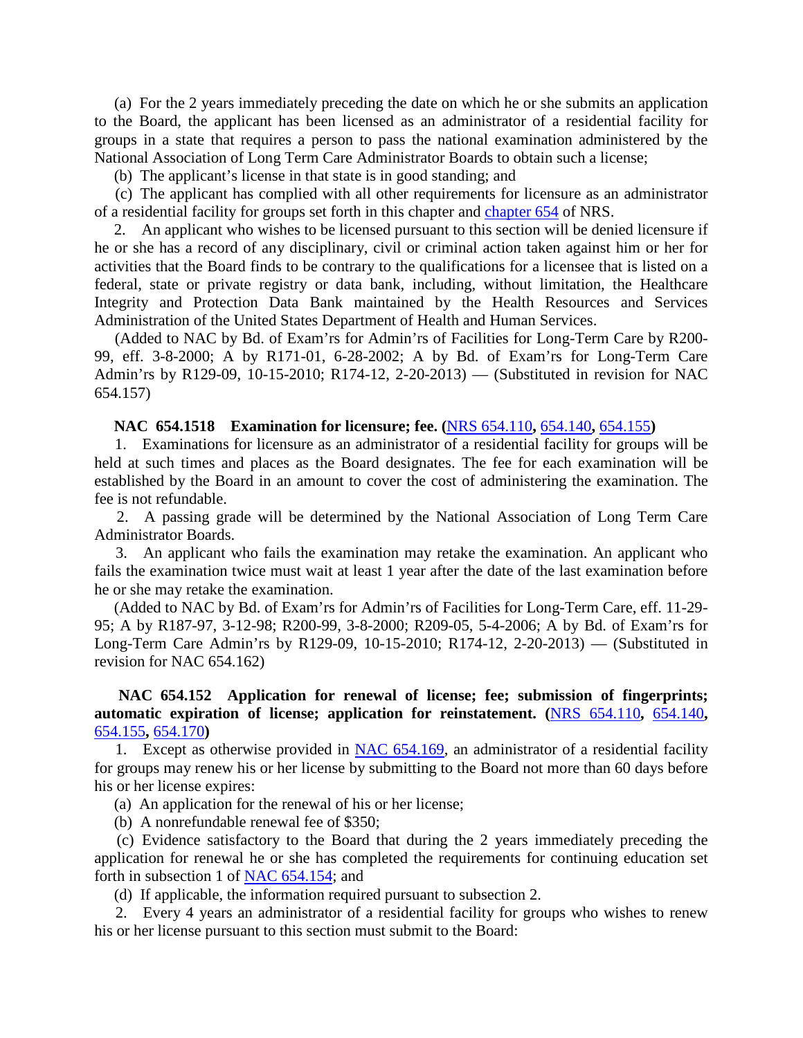(a) For the 2 years immediately preceding the date on which he or she submits an application to the Board, the applicant has been licensed as an administrator of a residential facility for groups in a state that requires a person to pass the national examination administered by the National Association of Long Term Care Administrator Boards to obtain such a license;

(b) The applicant's license in that state is in good standing; and

 (c) The applicant has complied with all other requirements for licensure as an administrator of a residential facility for groups set forth in this chapter and [chapter 654](https://www.leg.state.nv.us/NRS/NRS-654.html#NRS654) of NRS.

 2. An applicant who wishes to be licensed pursuant to this section will be denied licensure if he or she has a record of any disciplinary, civil or criminal action taken against him or her for activities that the Board finds to be contrary to the qualifications for a licensee that is listed on a federal, state or private registry or data bank, including, without limitation, the Healthcare Integrity and Protection Data Bank maintained by the Health Resources and Services Administration of the United States Department of Health and Human Services.

 (Added to NAC by Bd. of Exam'rs for Admin'rs of Facilities for Long-Term Care by R200- 99, eff. 3-8-2000; A by R171-01, 6-28-2002; A by Bd. of Exam'rs for Long-Term Care Admin'rs by R129-09, 10-15-2010; R174-12, 2-20-2013) — (Substituted in revision for NAC 654.157)

### **NAC 654.1518 Examination for licensure; fee. (**[NRS 654.110](https://www.leg.state.nv.us/NRS/NRS-654.html#NRS654Sec110)**,** [654.140](https://www.leg.state.nv.us/NRS/NRS-654.html#NRS654Sec140)**,** [654.155](https://www.leg.state.nv.us/NRS/NRS-654.html#NRS654Sec155)**)**

 1. Examinations for licensure as an administrator of a residential facility for groups will be held at such times and places as the Board designates. The fee for each examination will be established by the Board in an amount to cover the cost of administering the examination. The fee is not refundable.

 2. A passing grade will be determined by the National Association of Long Term Care Administrator Boards.

 3. An applicant who fails the examination may retake the examination. An applicant who fails the examination twice must wait at least 1 year after the date of the last examination before he or she may retake the examination.

 (Added to NAC by Bd. of Exam'rs for Admin'rs of Facilities for Long-Term Care, eff. 11-29- 95; A by R187-97, 3-12-98; R200-99, 3-8-2000; R209-05, 5-4-2006; A by Bd. of Exam'rs for Long-Term Care Admin'rs by R129-09, 10-15-2010; R174-12, 2-20-2013) — (Substituted in revision for NAC 654.162)

## **NAC 654.152 Application for renewal of license; fee; submission of fingerprints; automatic expiration of license; application for reinstatement. (**[NRS 654.110](https://www.leg.state.nv.us/NRS/NRS-654.html#NRS654Sec110)**,** [654.140](https://www.leg.state.nv.us/NRS/NRS-654.html#NRS654Sec140)**,**  [654.155](https://www.leg.state.nv.us/NRS/NRS-654.html#NRS654Sec155)**,** [654.170](https://www.leg.state.nv.us/NRS/NRS-654.html#NRS654Sec170)**)**

1. Except as otherwise provided in [NAC 654.169,](https://www.leg.state.nv.us/NAC/NAC-654.html#NAC654Sec169) an administrator of a residential facility for groups may renew his or her license by submitting to the Board not more than 60 days before his or her license expires:

(a) An application for the renewal of his or her license;

(b) A nonrefundable renewal fee of \$350;

 (c) Evidence satisfactory to the Board that during the 2 years immediately preceding the application for renewal he or she has completed the requirements for continuing education set forth in subsection 1 of [NAC 654.154;](https://www.leg.state.nv.us/NAC/NAC-654.html#NAC654Sec154) and

(d) If applicable, the information required pursuant to subsection 2.

 2. Every 4 years an administrator of a residential facility for groups who wishes to renew his or her license pursuant to this section must submit to the Board: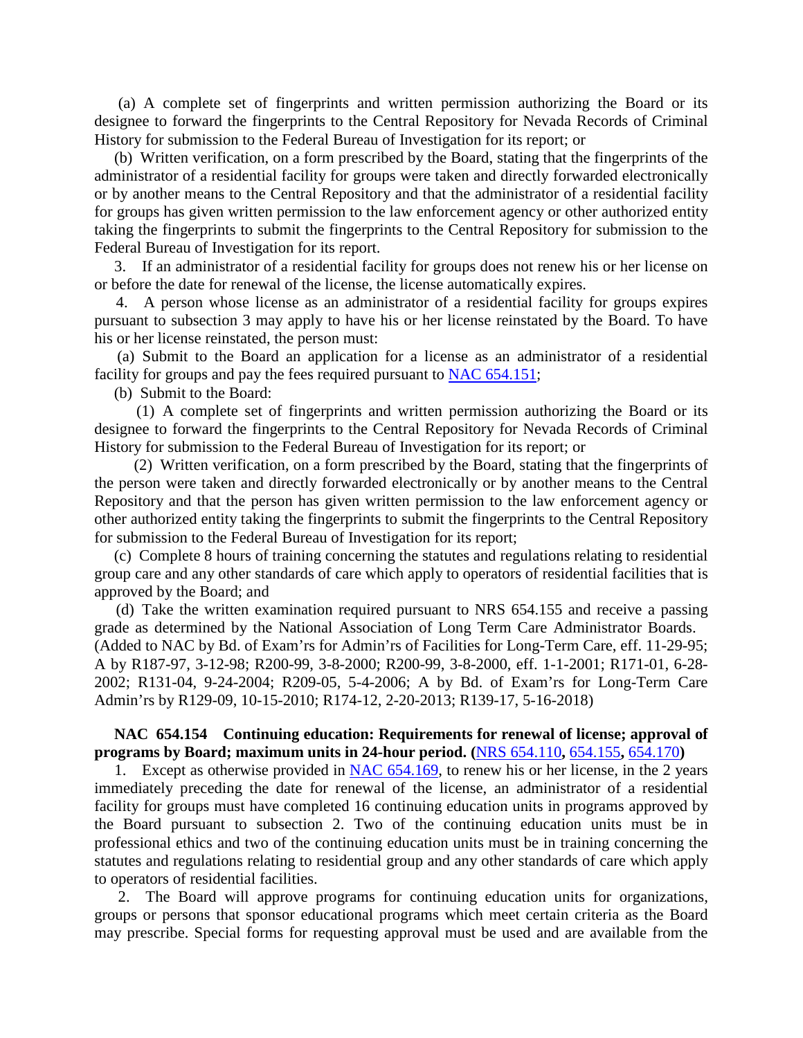(a) A complete set of fingerprints and written permission authorizing the Board or its designee to forward the fingerprints to the Central Repository for Nevada Records of Criminal History for submission to the Federal Bureau of Investigation for its report; or

 (b) Written verification, on a form prescribed by the Board, stating that the fingerprints of the administrator of a residential facility for groups were taken and directly forwarded electronically or by another means to the Central Repository and that the administrator of a residential facility for groups has given written permission to the law enforcement agency or other authorized entity taking the fingerprints to submit the fingerprints to the Central Repository for submission to the Federal Bureau of Investigation for its report.

 3. If an administrator of a residential facility for groups does not renew his or her license on or before the date for renewal of the license, the license automatically expires.

 4. A person whose license as an administrator of a residential facility for groups expires pursuant to subsection 3 may apply to have his or her license reinstated by the Board. To have his or her license reinstated, the person must:

 (a) Submit to the Board an application for a license as an administrator of a residential facility for groups and pay the fees required pursuant to [NAC 654.151;](https://www.leg.state.nv.us/NAC/NAC-654.html#NAC654Sec151)

(b) Submit to the Board:

 (1) A complete set of fingerprints and written permission authorizing the Board or its designee to forward the fingerprints to the Central Repository for Nevada Records of Criminal History for submission to the Federal Bureau of Investigation for its report; or

 (2) Written verification, on a form prescribed by the Board, stating that the fingerprints of the person were taken and directly forwarded electronically or by another means to the Central Repository and that the person has given written permission to the law enforcement agency or other authorized entity taking the fingerprints to submit the fingerprints to the Central Repository for submission to the Federal Bureau of Investigation for its report;

 (c) Complete 8 hours of training concerning the statutes and regulations relating to residential group care and any other standards of care which apply to operators of residential facilities that is approved by the Board; and

 (d) Take the written examination required pursuant to NRS 654.155 and receive a passing grade as determined by the National Association of Long Term Care Administrator Boards. (Added to NAC by Bd. of Exam'rs for Admin'rs of Facilities for Long-Term Care, eff. 11-29-95; A by R187-97, 3-12-98; R200-99, 3-8-2000; R200-99, 3-8-2000, eff. 1-1-2001; R171-01, 6-28- 2002; R131-04, 9-24-2004; R209-05, 5-4-2006; A by Bd. of Exam'rs for Long-Term Care Admin'rs by R129-09, 10-15-2010; R174-12, 2-20-2013; R139-17, 5-16-2018)

## **NAC 654.154 Continuing education: Requirements for renewal of license; approval of programs by Board; maximum units in 24-hour period. (**[NRS 654.110](https://www.leg.state.nv.us/NRS/NRS-654.html#NRS654Sec110)**,** [654.155](https://www.leg.state.nv.us/NRS/NRS-654.html#NRS654Sec155)**,** [654.170](https://www.leg.state.nv.us/NRS/NRS-654.html#NRS654Sec170)**)**

1. Except as otherwise provided in [NAC 654.169,](https://www.leg.state.nv.us/NAC/NAC-654.html#NAC654Sec169) to renew his or her license, in the 2 years immediately preceding the date for renewal of the license, an administrator of a residential facility for groups must have completed 16 continuing education units in programs approved by the Board pursuant to subsection 2. Two of the continuing education units must be in professional ethics and two of the continuing education units must be in training concerning the statutes and regulations relating to residential group and any other standards of care which apply to operators of residential facilities.

 2. The Board will approve programs for continuing education units for organizations, groups or persons that sponsor educational programs which meet certain criteria as the Board may prescribe. Special forms for requesting approval must be used and are available from the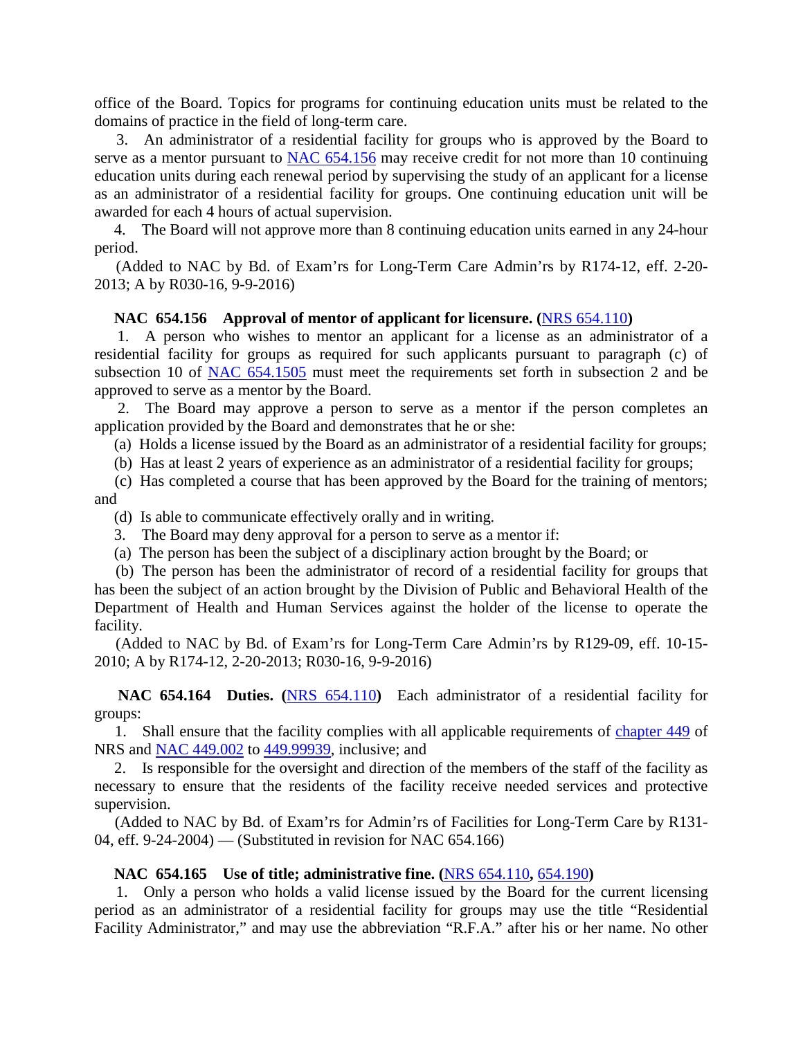office of the Board. Topics for programs for continuing education units must be related to the domains of practice in the field of long-term care.

 3. An administrator of a residential facility for groups who is approved by the Board to serve as a mentor pursuant to [NAC 654.156](https://www.leg.state.nv.us/NAC/NAC-654.html#NAC654Sec156) may receive credit for not more than 10 continuing education units during each renewal period by supervising the study of an applicant for a license as an administrator of a residential facility for groups. One continuing education unit will be awarded for each 4 hours of actual supervision.

 4. The Board will not approve more than 8 continuing education units earned in any 24-hour period.

 (Added to NAC by Bd. of Exam'rs for Long-Term Care Admin'rs by R174-12, eff. 2-20- 2013; A by R030-16, 9-9-2016)

### **NAC 654.156 Approval of mentor of applicant for licensure. (**[NRS 654.110](https://www.leg.state.nv.us/NRS/NRS-654.html#NRS654Sec110)**)**

 1. A person who wishes to mentor an applicant for a license as an administrator of a residential facility for groups as required for such applicants pursuant to paragraph (c) of subsection 10 of [NAC 654.1505](https://www.leg.state.nv.us/NAC/NAC-654.html#NAC654Sec1505) must meet the requirements set forth in subsection 2 and be approved to serve as a mentor by the Board.

 2. The Board may approve a person to serve as a mentor if the person completes an application provided by the Board and demonstrates that he or she:

(a) Holds a license issued by the Board as an administrator of a residential facility for groups;

(b) Has at least 2 years of experience as an administrator of a residential facility for groups;

 (c) Has completed a course that has been approved by the Board for the training of mentors; and

(d) Is able to communicate effectively orally and in writing.

3. The Board may deny approval for a person to serve as a mentor if:

(a) The person has been the subject of a disciplinary action brought by the Board; or

 (b) The person has been the administrator of record of a residential facility for groups that has been the subject of an action brought by the Division of Public and Behavioral Health of the Department of Health and Human Services against the holder of the license to operate the facility.

 (Added to NAC by Bd. of Exam'rs for Long-Term Care Admin'rs by R129-09, eff. 10-15- 2010; A by R174-12, 2-20-2013; R030-16, 9-9-2016)

 **NAC 654.164 Duties. (**[NRS 654.110](https://www.leg.state.nv.us/NRS/NRS-654.html#NRS654Sec110)**)** Each administrator of a residential facility for groups:

1. Shall ensure that the facility complies with all applicable requirements of [chapter 449](https://www.leg.state.nv.us/NRS/NRS-449.html#NRS449) of NRS and [NAC 449.002](https://www.leg.state.nv.us/NAC/NAC-449.html#NAC449Sec002) to [449.99939,](https://www.leg.state.nv.us/NAC/NAC-449.html#NAC449Sec99939) inclusive; and

 2. Is responsible for the oversight and direction of the members of the staff of the facility as necessary to ensure that the residents of the facility receive needed services and protective supervision.

 (Added to NAC by Bd. of Exam'rs for Admin'rs of Facilities for Long-Term Care by R131- 04, eff. 9-24-2004) — (Substituted in revision for NAC 654.166)

### **NAC 654.165 Use of title; administrative fine. (**[NRS 654.110](https://www.leg.state.nv.us/NRS/NRS-654.html#NRS654Sec110)**,** [654.190](https://www.leg.state.nv.us/NRS/NRS-654.html#NRS654Sec190)**)**

 1. Only a person who holds a valid license issued by the Board for the current licensing period as an administrator of a residential facility for groups may use the title "Residential Facility Administrator," and may use the abbreviation "R.F.A." after his or her name. No other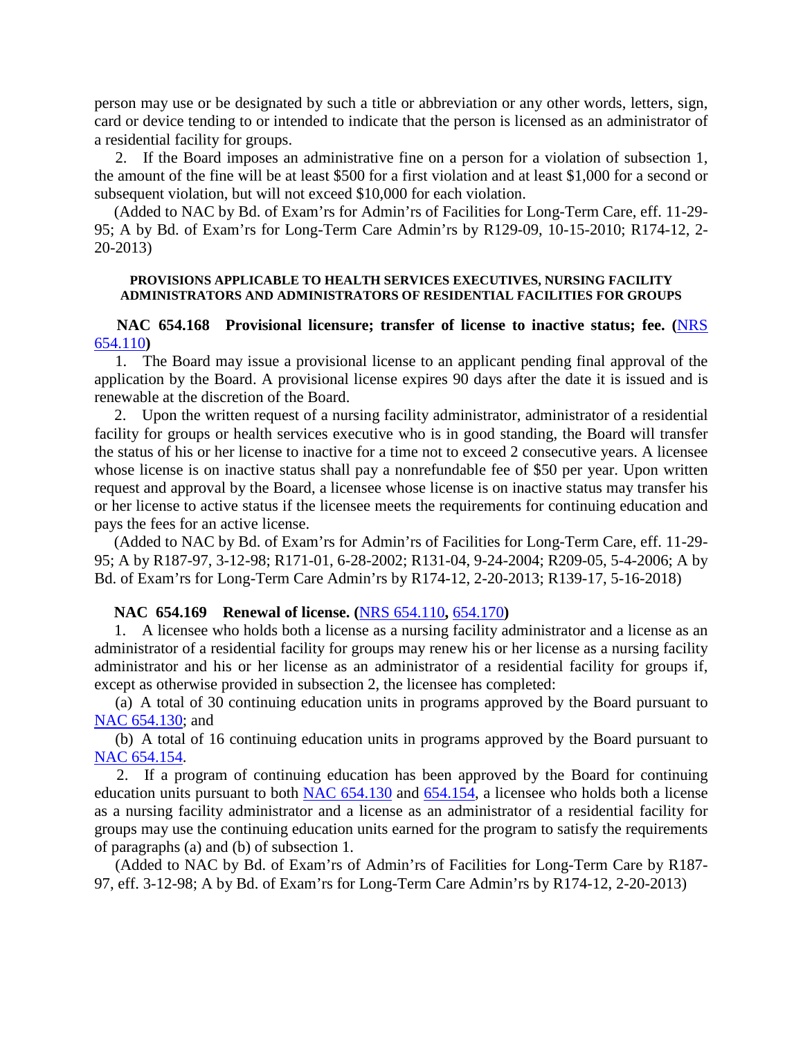person may use or be designated by such a title or abbreviation or any other words, letters, sign, card or device tending to or intended to indicate that the person is licensed as an administrator of a residential facility for groups.

 2. If the Board imposes an administrative fine on a person for a violation of subsection 1, the amount of the fine will be at least \$500 for a first violation and at least \$1,000 for a second or subsequent violation, but will not exceed \$10,000 for each violation.

 (Added to NAC by Bd. of Exam'rs for Admin'rs of Facilities for Long-Term Care, eff. 11-29- 95; A by Bd. of Exam'rs for Long-Term Care Admin'rs by R129-09, 10-15-2010; R174-12, 2- 20-2013)

### **PROVISIONS APPLICABLE TO HEALTH SERVICES EXECUTIVES, NURSING FACILITY ADMINISTRATORS AND ADMINISTRATORS OF RESIDENTIAL FACILITIES FOR GROUPS**

## **NAC 654.168 Provisional licensure; transfer of license to inactive status; fee. (**[NRS](https://www.leg.state.nv.us/NRS/NRS-654.html#NRS654Sec110)  [654.110](https://www.leg.state.nv.us/NRS/NRS-654.html#NRS654Sec110)**)**

 1. The Board may issue a provisional license to an applicant pending final approval of the application by the Board. A provisional license expires 90 days after the date it is issued and is renewable at the discretion of the Board.

 2. Upon the written request of a nursing facility administrator, administrator of a residential facility for groups or health services executive who is in good standing, the Board will transfer the status of his or her license to inactive for a time not to exceed 2 consecutive years. A licensee whose license is on inactive status shall pay a nonrefundable fee of \$50 per year. Upon written request and approval by the Board, a licensee whose license is on inactive status may transfer his or her license to active status if the licensee meets the requirements for continuing education and pays the fees for an active license.

 (Added to NAC by Bd. of Exam'rs for Admin'rs of Facilities for Long-Term Care, eff. 11-29- 95; A by R187-97, 3-12-98; R171-01, 6-28-2002; R131-04, 9-24-2004; R209-05, 5-4-2006; A by Bd. of Exam'rs for Long-Term Care Admin'rs by R174-12, 2-20-2013; R139-17, 5-16-2018)

## **NAC 654.169 Renewal of license. (**[NRS 654.110](https://www.leg.state.nv.us/NRS/NRS-654.html#NRS654Sec110)**,** [654.170](https://www.leg.state.nv.us/NRS/NRS-654.html#NRS654Sec170)**)**

 1. A licensee who holds both a license as a nursing facility administrator and a license as an administrator of a residential facility for groups may renew his or her license as a nursing facility administrator and his or her license as an administrator of a residential facility for groups if, except as otherwise provided in subsection 2, the licensee has completed:

 (a) A total of 30 continuing education units in programs approved by the Board pursuant to [NAC 654.130;](https://www.leg.state.nv.us/NAC/NAC-654.html#NAC654Sec130) and

 (b) A total of 16 continuing education units in programs approved by the Board pursuant to [NAC 654.154.](https://www.leg.state.nv.us/NAC/NAC-654.html#NAC654Sec154)

 2. If a program of continuing education has been approved by the Board for continuing education units pursuant to both  $NAC$  654.130 and [654.154,](https://www.leg.state.nv.us/NAC/NAC-654.html#NAC654Sec154) a licensee who holds both a license as a nursing facility administrator and a license as an administrator of a residential facility for groups may use the continuing education units earned for the program to satisfy the requirements of paragraphs (a) and (b) of subsection 1.

 (Added to NAC by Bd. of Exam'rs of Admin'rs of Facilities for Long-Term Care by R187- 97, eff. 3-12-98; A by Bd. of Exam'rs for Long-Term Care Admin'rs by R174-12, 2-20-2013)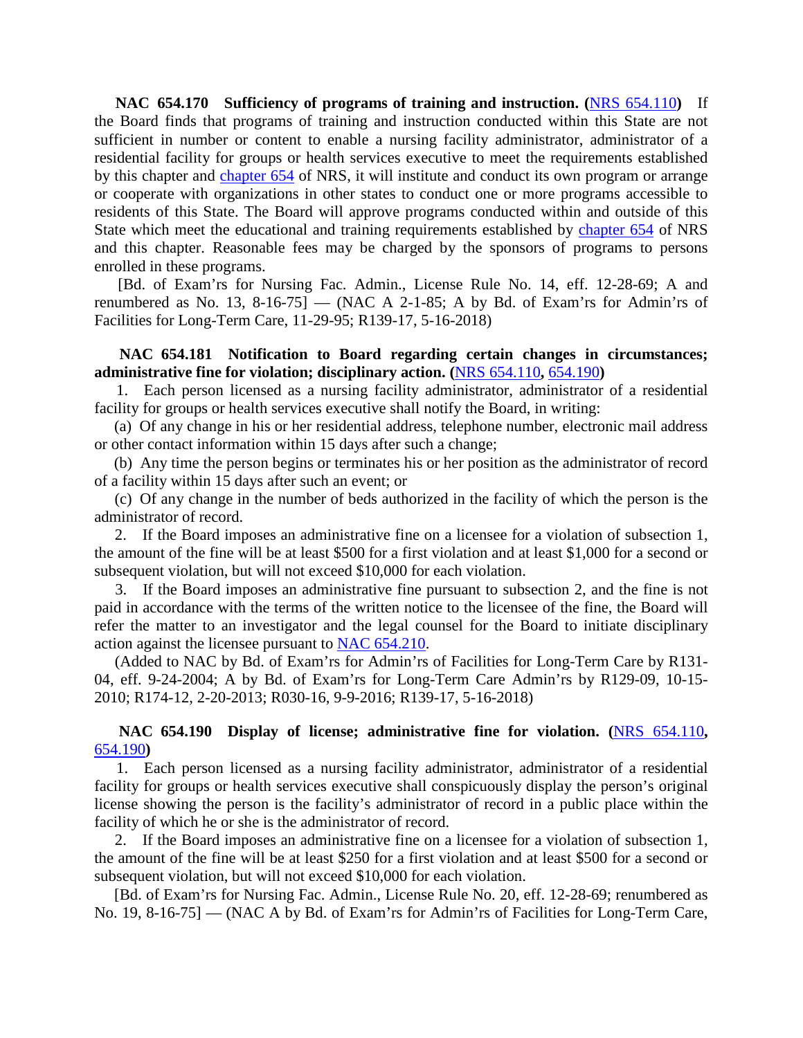**NAC 654.170 Sufficiency of programs of training and instruction. (**[NRS 654.110](https://www.leg.state.nv.us/NRS/NRS-654.html#NRS654Sec110)**)** If the Board finds that programs of training and instruction conducted within this State are not sufficient in number or content to enable a nursing facility administrator, administrator of a residential facility for groups or health services executive to meet the requirements established by this chapter and [chapter 654](https://www.leg.state.nv.us/NRS/NRS-654.html#NRS654) of NRS, it will institute and conduct its own program or arrange or cooperate with organizations in other states to conduct one or more programs accessible to residents of this State. The Board will approve programs conducted within and outside of this State which meet the educational and training requirements established by [chapter 654](https://www.leg.state.nv.us/NRS/NRS-654.html#NRS654) of NRS and this chapter. Reasonable fees may be charged by the sponsors of programs to persons enrolled in these programs.

 [Bd. of Exam'rs for Nursing Fac. Admin., License Rule No. 14, eff. 12-28-69; A and renumbered as No. 13, 8-16-75] — (NAC A 2-1-85; A by Bd. of Exam'rs for Admin'rs of Facilities for Long-Term Care, 11-29-95; R139-17, 5-16-2018)

# **NAC 654.181 Notification to Board regarding certain changes in circumstances; administrative fine for violation; disciplinary action. (**[NRS 654.110](https://www.leg.state.nv.us/NRS/NRS-654.html#NRS654Sec110)**,** [654.190](https://www.leg.state.nv.us/NRS/NRS-654.html#NRS654Sec190)**)**

 1. Each person licensed as a nursing facility administrator, administrator of a residential facility for groups or health services executive shall notify the Board, in writing:

 (a) Of any change in his or her residential address, telephone number, electronic mail address or other contact information within 15 days after such a change;

 (b) Any time the person begins or terminates his or her position as the administrator of record of a facility within 15 days after such an event; or

 (c) Of any change in the number of beds authorized in the facility of which the person is the administrator of record.

 2. If the Board imposes an administrative fine on a licensee for a violation of subsection 1, the amount of the fine will be at least \$500 for a first violation and at least \$1,000 for a second or subsequent violation, but will not exceed \$10,000 for each violation.

 3. If the Board imposes an administrative fine pursuant to subsection 2, and the fine is not paid in accordance with the terms of the written notice to the licensee of the fine, the Board will refer the matter to an investigator and the legal counsel for the Board to initiate disciplinary action against the licensee pursuant to [NAC 654.210.](https://www.leg.state.nv.us/NAC/NAC-654.html#NAC654Sec210)

 (Added to NAC by Bd. of Exam'rs for Admin'rs of Facilities for Long-Term Care by R131- 04, eff. 9-24-2004; A by Bd. of Exam'rs for Long-Term Care Admin'rs by R129-09, 10-15- 2010; R174-12, 2-20-2013; R030-16, 9-9-2016; R139-17, 5-16-2018)

## **NAC 654.190 Display of license; administrative fine for violation. (**[NRS 654.110](https://www.leg.state.nv.us/NRS/NRS-654.html#NRS654Sec110)**,**  [654.190](https://www.leg.state.nv.us/NRS/NRS-654.html#NRS654Sec190)**)**

 1. Each person licensed as a nursing facility administrator, administrator of a residential facility for groups or health services executive shall conspicuously display the person's original license showing the person is the facility's administrator of record in a public place within the facility of which he or she is the administrator of record.

 2. If the Board imposes an administrative fine on a licensee for a violation of subsection 1, the amount of the fine will be at least \$250 for a first violation and at least \$500 for a second or subsequent violation, but will not exceed \$10,000 for each violation.

 [Bd. of Exam'rs for Nursing Fac. Admin., License Rule No. 20, eff. 12-28-69; renumbered as No. 19, 8-16-75] — (NAC A by Bd. of Exam'rs for Admin'rs of Facilities for Long-Term Care,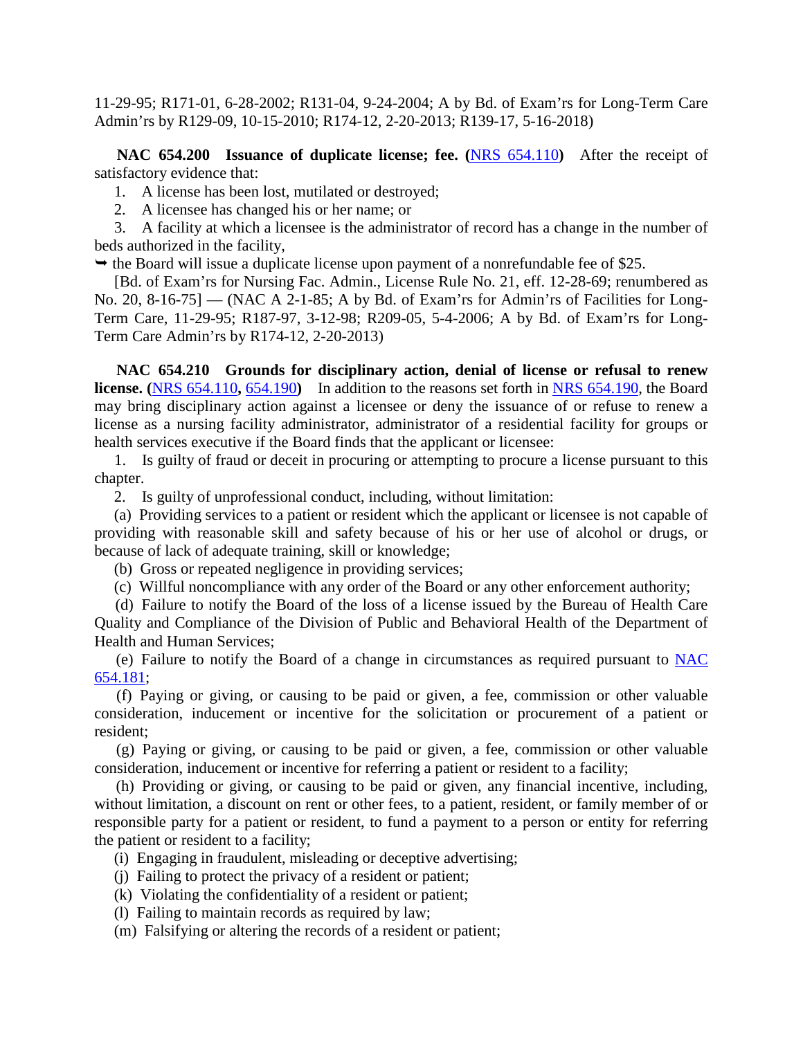11-29-95; R171-01, 6-28-2002; R131-04, 9-24-2004; A by Bd. of Exam'rs for Long-Term Care Admin'rs by R129-09, 10-15-2010; R174-12, 2-20-2013; R139-17, 5-16-2018)

 **NAC 654.200 Issuance of duplicate license; fee. (**[NRS 654.110](https://www.leg.state.nv.us/NRS/NRS-654.html#NRS654Sec110)**)** After the receipt of satisfactory evidence that:

1. A license has been lost, mutilated or destroyed;

2. A licensee has changed his or her name; or

 3. A facility at which a licensee is the administrator of record has a change in the number of beds authorized in the facility,

 $\rightarrow$  the Board will issue a duplicate license upon payment of a nonrefundable fee of \$25.

 [Bd. of Exam'rs for Nursing Fac. Admin., License Rule No. 21, eff. 12-28-69; renumbered as No. 20, 8-16-75] — (NAC A 2-1-85; A by Bd. of Exam'rs for Admin'rs of Facilities for Long-Term Care, 11-29-95; R187-97, 3-12-98; R209-05, 5-4-2006; A by Bd. of Exam'rs for Long-Term Care Admin'rs by R174-12, 2-20-2013)

 **NAC 654.210 Grounds for disciplinary action, denial of license or refusal to renew license.** ([NRS 654.110](https://www.leg.state.nv.us/NRS/NRS-654.html#NRS654Sec110), [654.190](https://www.leg.state.nv.us/NRS/NRS-654.html#NRS654Sec190)) In addition to the reasons set forth in [NRS 654.190,](https://www.leg.state.nv.us/NRS/NRS-654.html#NRS654Sec190) the Board may bring disciplinary action against a licensee or deny the issuance of or refuse to renew a license as a nursing facility administrator, administrator of a residential facility for groups or health services executive if the Board finds that the applicant or licensee:

 1. Is guilty of fraud or deceit in procuring or attempting to procure a license pursuant to this chapter.

2. Is guilty of unprofessional conduct, including, without limitation:

 (a) Providing services to a patient or resident which the applicant or licensee is not capable of providing with reasonable skill and safety because of his or her use of alcohol or drugs, or because of lack of adequate training, skill or knowledge;

(b) Gross or repeated negligence in providing services;

(c) Willful noncompliance with any order of the Board or any other enforcement authority;

 (d) Failure to notify the Board of the loss of a license issued by the Bureau of Health Care Quality and Compliance of the Division of Public and Behavioral Health of the Department of Health and Human Services;

 (e) Failure to notify the Board of a change in circumstances as required pursuant to [NAC](https://www.leg.state.nv.us/NAC/NAC-654.html#NAC654Sec181)  [654.181;](https://www.leg.state.nv.us/NAC/NAC-654.html#NAC654Sec181)

 (f) Paying or giving, or causing to be paid or given, a fee, commission or other valuable consideration, inducement or incentive for the solicitation or procurement of a patient or resident;

 (g) Paying or giving, or causing to be paid or given, a fee, commission or other valuable consideration, inducement or incentive for referring a patient or resident to a facility;

 (h) Providing or giving, or causing to be paid or given, any financial incentive, including, without limitation, a discount on rent or other fees, to a patient, resident, or family member of or responsible party for a patient or resident, to fund a payment to a person or entity for referring the patient or resident to a facility;

(i) Engaging in fraudulent, misleading or deceptive advertising;

(j) Failing to protect the privacy of a resident or patient;

(k) Violating the confidentiality of a resident or patient;

(l) Failing to maintain records as required by law;

(m) Falsifying or altering the records of a resident or patient;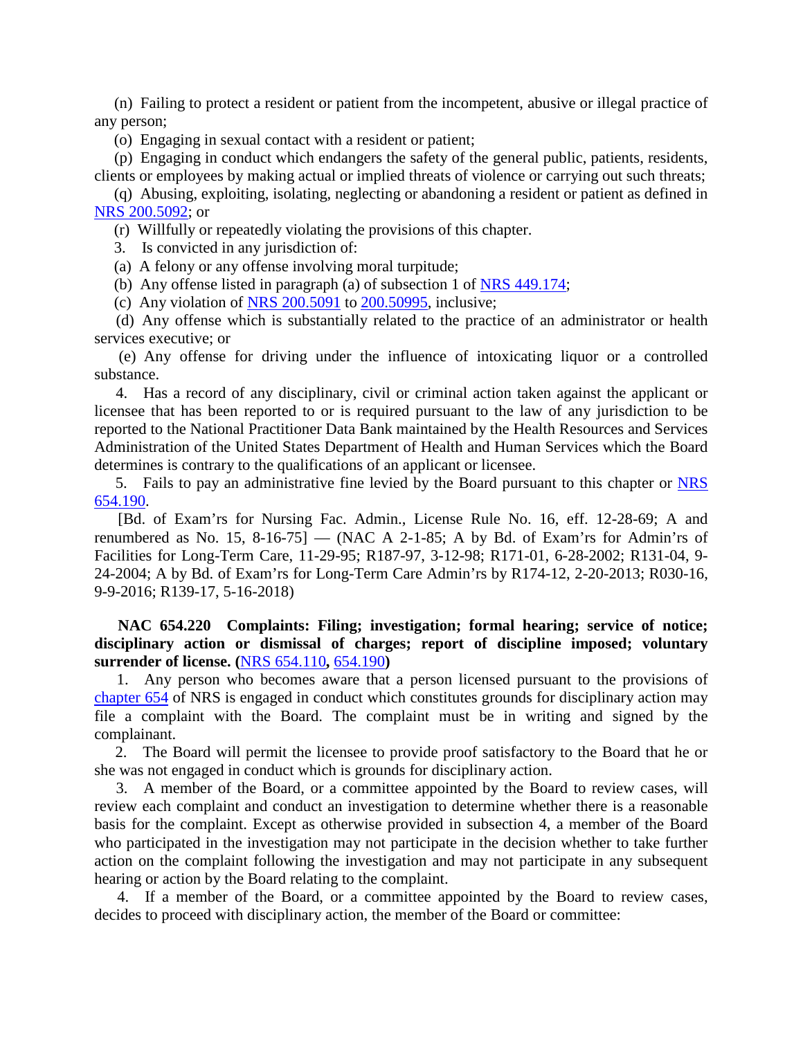(n) Failing to protect a resident or patient from the incompetent, abusive or illegal practice of any person;

(o) Engaging in sexual contact with a resident or patient;

 (p) Engaging in conduct which endangers the safety of the general public, patients, residents, clients or employees by making actual or implied threats of violence or carrying out such threats;

 (q) Abusing, exploiting, isolating, neglecting or abandoning a resident or patient as defined in [NRS 200.5092;](https://www.leg.state.nv.us/NRS/NRS-200.html#NRS200Sec5092) or

(r) Willfully or repeatedly violating the provisions of this chapter.

3. Is convicted in any jurisdiction of:

(a) A felony or any offense involving moral turpitude;

(b) Any offense listed in paragraph (a) of subsection 1 of [NRS 449.174;](https://www.leg.state.nv.us/NRS/NRS-449.html#NRS449Sec174)

(c) Any violation of  $NRS$  200.5091 to [200.50995,](https://www.leg.state.nv.us/NRS/NRS-200.html#NRS200Sec50995) inclusive;

 (d) Any offense which is substantially related to the practice of an administrator or health services executive; or

 (e) Any offense for driving under the influence of intoxicating liquor or a controlled substance.

 4. Has a record of any disciplinary, civil or criminal action taken against the applicant or licensee that has been reported to or is required pursuant to the law of any jurisdiction to be reported to the National Practitioner Data Bank maintained by the Health Resources and Services Administration of the United States Department of Health and Human Services which the Board determines is contrary to the qualifications of an applicant or licensee.

 5. Fails to pay an administrative fine levied by the Board pursuant to this chapter or [NRS](https://www.leg.state.nv.us/NRS/NRS-654.html#NRS654Sec190)  [654.190.](https://www.leg.state.nv.us/NRS/NRS-654.html#NRS654Sec190)

 [Bd. of Exam'rs for Nursing Fac. Admin., License Rule No. 16, eff. 12-28-69; A and renumbered as No. 15, 8-16-75] — (NAC A 2-1-85; A by Bd. of Exam'rs for Admin'rs of Facilities for Long-Term Care, 11-29-95; R187-97, 3-12-98; R171-01, 6-28-2002; R131-04, 9- 24-2004; A by Bd. of Exam'rs for Long-Term Care Admin'rs by R174-12, 2-20-2013; R030-16, 9-9-2016; R139-17, 5-16-2018)

# **NAC 654.220 Complaints: Filing; investigation; formal hearing; service of notice; disciplinary action or dismissal of charges; report of discipline imposed; voluntary surrender of license. (**[NRS 654.110](https://www.leg.state.nv.us/NRS/NRS-654.html#NRS654Sec110)**,** [654.190](https://www.leg.state.nv.us/NRS/NRS-654.html#NRS654Sec190)**)**

 1. Any person who becomes aware that a person licensed pursuant to the provisions of [chapter 654](https://www.leg.state.nv.us/NRS/NRS-654.html#NRS654) of NRS is engaged in conduct which constitutes grounds for disciplinary action may file a complaint with the Board. The complaint must be in writing and signed by the complainant.

 2. The Board will permit the licensee to provide proof satisfactory to the Board that he or she was not engaged in conduct which is grounds for disciplinary action.

 3. A member of the Board, or a committee appointed by the Board to review cases, will review each complaint and conduct an investigation to determine whether there is a reasonable basis for the complaint. Except as otherwise provided in subsection 4, a member of the Board who participated in the investigation may not participate in the decision whether to take further action on the complaint following the investigation and may not participate in any subsequent hearing or action by the Board relating to the complaint.

 4. If a member of the Board, or a committee appointed by the Board to review cases, decides to proceed with disciplinary action, the member of the Board or committee: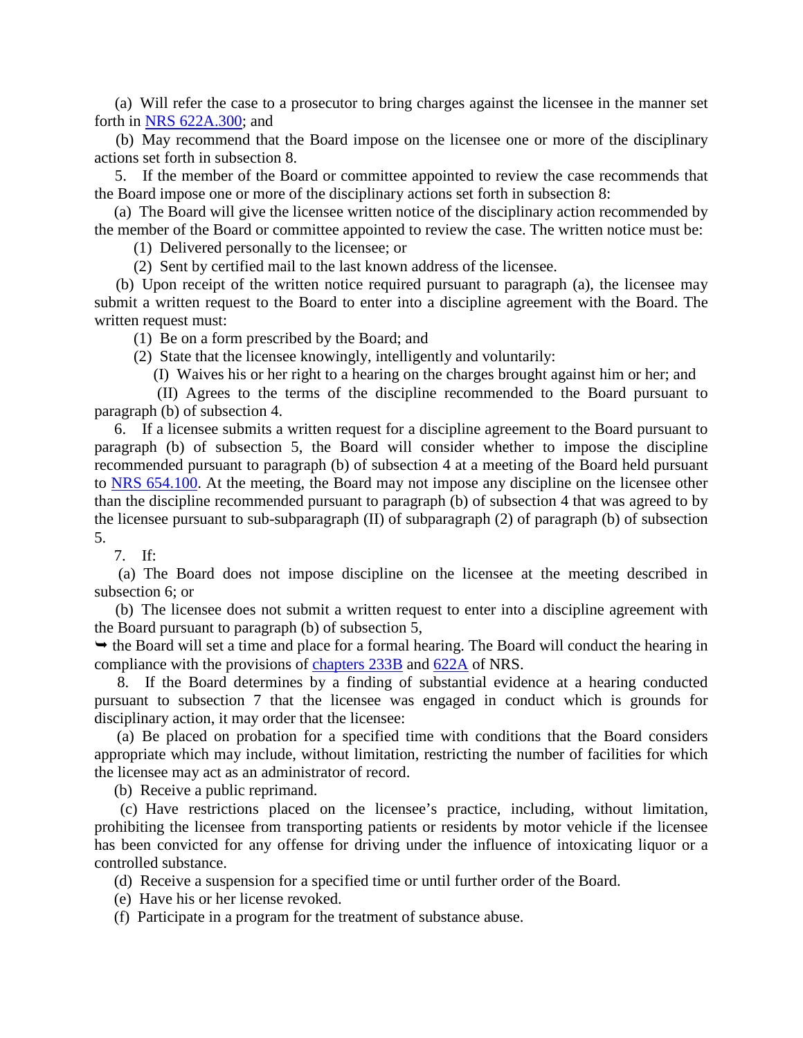(a) Will refer the case to a prosecutor to bring charges against the licensee in the manner set forth in [NRS 622A.300;](https://www.leg.state.nv.us/NRS/NRS-622A.html#NRS622ASec300) and

 (b) May recommend that the Board impose on the licensee one or more of the disciplinary actions set forth in subsection 8.

 5. If the member of the Board or committee appointed to review the case recommends that the Board impose one or more of the disciplinary actions set forth in subsection 8:

 (a) The Board will give the licensee written notice of the disciplinary action recommended by the member of the Board or committee appointed to review the case. The written notice must be:

(1) Delivered personally to the licensee; or

(2) Sent by certified mail to the last known address of the licensee.

 (b) Upon receipt of the written notice required pursuant to paragraph (a), the licensee may submit a written request to the Board to enter into a discipline agreement with the Board. The written request must:

(1) Be on a form prescribed by the Board; and

(2) State that the licensee knowingly, intelligently and voluntarily:

(I) Waives his or her right to a hearing on the charges brought against him or her; and

 (II) Agrees to the terms of the discipline recommended to the Board pursuant to paragraph (b) of subsection 4.

 6. If a licensee submits a written request for a discipline agreement to the Board pursuant to paragraph (b) of subsection 5, the Board will consider whether to impose the discipline recommended pursuant to paragraph (b) of subsection 4 at a meeting of the Board held pursuant to [NRS 654.100.](https://www.leg.state.nv.us/NRS/NRS-654.html#NRS654Sec100) At the meeting, the Board may not impose any discipline on the licensee other than the discipline recommended pursuant to paragraph (b) of subsection 4 that was agreed to by the licensee pursuant to sub-subparagraph (II) of subparagraph (2) of paragraph (b) of subsection 5.

7. If:

 (a) The Board does not impose discipline on the licensee at the meeting described in subsection 6; or

 (b) The licensee does not submit a written request to enter into a discipline agreement with the Board pursuant to paragraph (b) of subsection 5,

 $\rightarrow$  the Board will set a time and place for a formal hearing. The Board will conduct the hearing in compliance with the provisions of [chapters 233B](https://www.leg.state.nv.us/NRS/NRS-233B.html#NRS233B) and [622A](https://www.leg.state.nv.us/NRS/NRS-622A.html#NRS622A) of NRS.

 8. If the Board determines by a finding of substantial evidence at a hearing conducted pursuant to subsection 7 that the licensee was engaged in conduct which is grounds for disciplinary action, it may order that the licensee:

 (a) Be placed on probation for a specified time with conditions that the Board considers appropriate which may include, without limitation, restricting the number of facilities for which the licensee may act as an administrator of record.

(b) Receive a public reprimand.

 (c) Have restrictions placed on the licensee's practice, including, without limitation, prohibiting the licensee from transporting patients or residents by motor vehicle if the licensee has been convicted for any offense for driving under the influence of intoxicating liquor or a controlled substance.

(d) Receive a suspension for a specified time or until further order of the Board.

(e) Have his or her license revoked.

(f) Participate in a program for the treatment of substance abuse.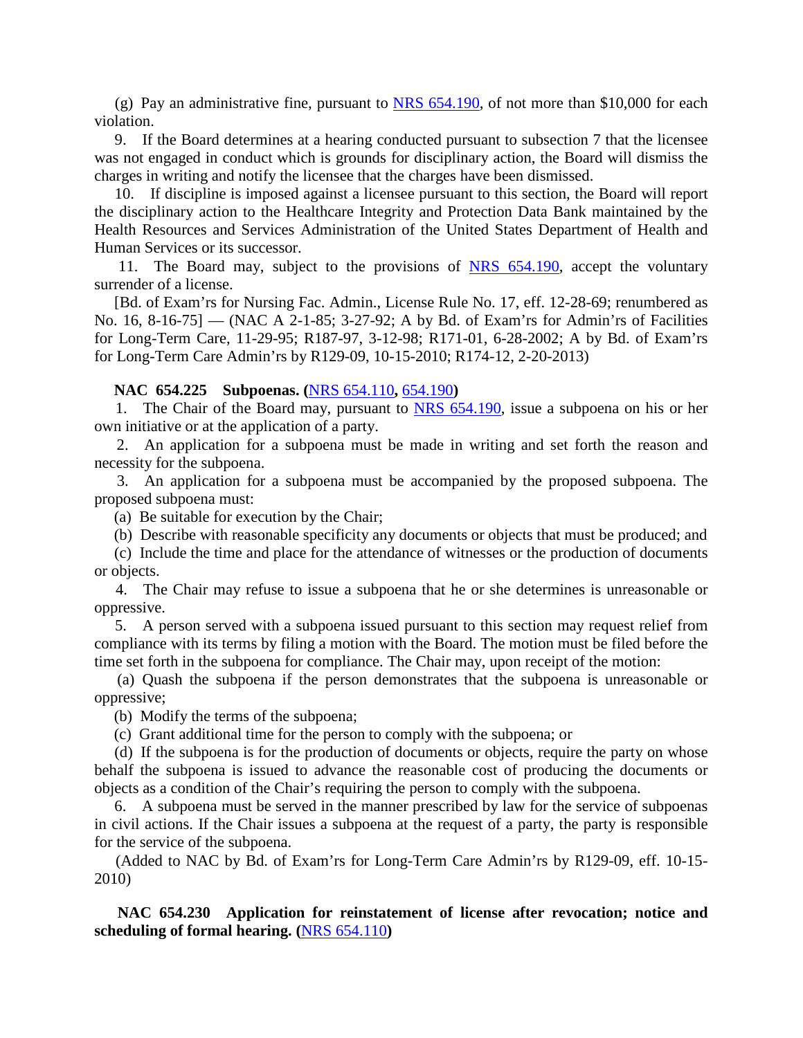(g) Pay an administrative fine, pursuant to NRS  $654.190$ , of not more than \$10,000 for each violation.

 9. If the Board determines at a hearing conducted pursuant to subsection 7 that the licensee was not engaged in conduct which is grounds for disciplinary action, the Board will dismiss the charges in writing and notify the licensee that the charges have been dismissed.

 10. If discipline is imposed against a licensee pursuant to this section, the Board will report the disciplinary action to the Healthcare Integrity and Protection Data Bank maintained by the Health Resources and Services Administration of the United States Department of Health and Human Services or its successor.

11. The Board may, subject to the provisions of [NRS 654.190,](https://www.leg.state.nv.us/NRS/NRS-654.html#NRS654Sec190) accept the voluntary surrender of a license.

 [Bd. of Exam'rs for Nursing Fac. Admin., License Rule No. 17, eff. 12-28-69; renumbered as No. 16, 8-16-75] — (NAC A 2-1-85; 3-27-92; A by Bd. of Exam'rs for Admin'rs of Facilities for Long-Term Care, 11-29-95; R187-97, 3-12-98; R171-01, 6-28-2002; A by Bd. of Exam'rs for Long-Term Care Admin'rs by R129-09, 10-15-2010; R174-12, 2-20-2013)

### **NAC 654.225 Subpoenas. (**[NRS 654.110](https://www.leg.state.nv.us/NRS/NRS-654.html#NRS654Sec110)**,** [654.190](https://www.leg.state.nv.us/NRS/NRS-654.html#NRS654Sec190)**)**

1. The Chair of the Board may, pursuant to [NRS 654.190,](https://www.leg.state.nv.us/NRS/NRS-654.html#NRS654Sec190) issue a subpoena on his or her own initiative or at the application of a party.

 2. An application for a subpoena must be made in writing and set forth the reason and necessity for the subpoena.

 3. An application for a subpoena must be accompanied by the proposed subpoena. The proposed subpoena must:

(a) Be suitable for execution by the Chair;

(b) Describe with reasonable specificity any documents or objects that must be produced; and

 (c) Include the time and place for the attendance of witnesses or the production of documents or objects.

 4. The Chair may refuse to issue a subpoena that he or she determines is unreasonable or oppressive.

 5. A person served with a subpoena issued pursuant to this section may request relief from compliance with its terms by filing a motion with the Board. The motion must be filed before the time set forth in the subpoena for compliance. The Chair may, upon receipt of the motion:

 (a) Quash the subpoena if the person demonstrates that the subpoena is unreasonable or oppressive;

(b) Modify the terms of the subpoena;

(c) Grant additional time for the person to comply with the subpoena; or

 (d) If the subpoena is for the production of documents or objects, require the party on whose behalf the subpoena is issued to advance the reasonable cost of producing the documents or objects as a condition of the Chair's requiring the person to comply with the subpoena.

 6. A subpoena must be served in the manner prescribed by law for the service of subpoenas in civil actions. If the Chair issues a subpoena at the request of a party, the party is responsible for the service of the subpoena.

 (Added to NAC by Bd. of Exam'rs for Long-Term Care Admin'rs by R129-09, eff. 10-15- 2010)

 **NAC 654.230 Application for reinstatement of license after revocation; notice and scheduling of formal hearing. (**[NRS 654.110](https://www.leg.state.nv.us/NRS/NRS-654.html#NRS654Sec110)**)**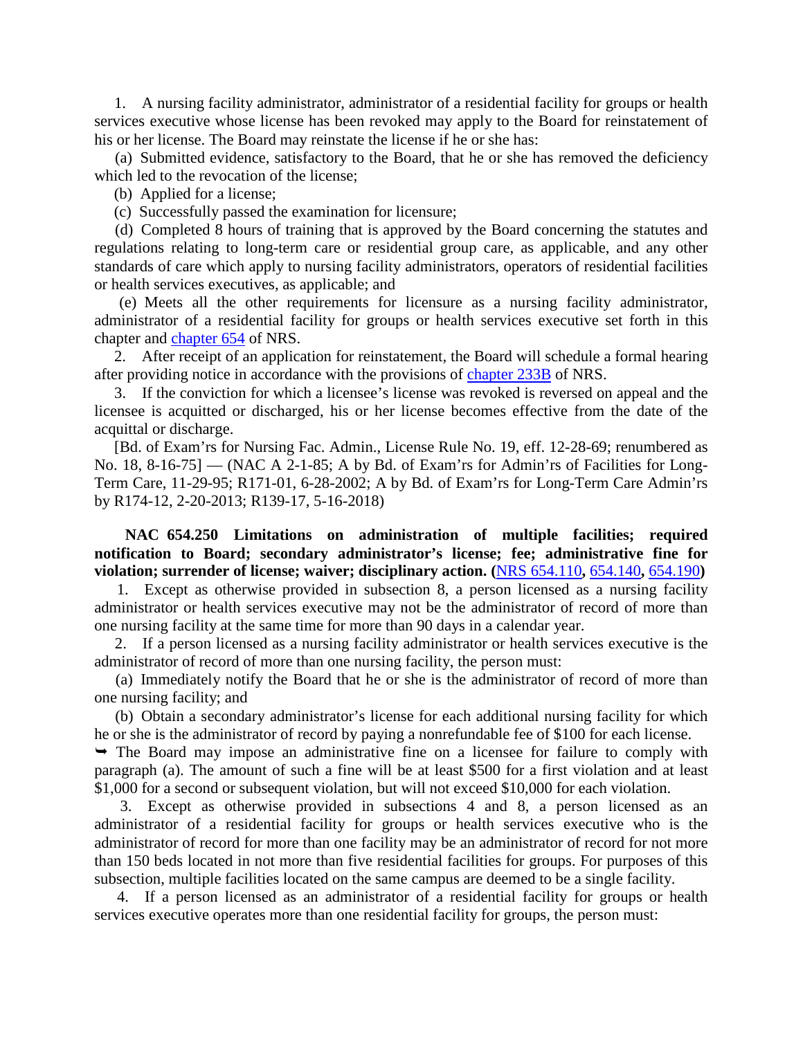1. A nursing facility administrator, administrator of a residential facility for groups or health services executive whose license has been revoked may apply to the Board for reinstatement of his or her license. The Board may reinstate the license if he or she has:

 (a) Submitted evidence, satisfactory to the Board, that he or she has removed the deficiency which led to the revocation of the license;

(b) Applied for a license;

(c) Successfully passed the examination for licensure;

 (d) Completed 8 hours of training that is approved by the Board concerning the statutes and regulations relating to long-term care or residential group care, as applicable, and any other standards of care which apply to nursing facility administrators, operators of residential facilities or health services executives, as applicable; and

 (e) Meets all the other requirements for licensure as a nursing facility administrator, administrator of a residential facility for groups or health services executive set forth in this chapter and [chapter 654](https://www.leg.state.nv.us/NRS/NRS-654.html#NRS654) of NRS.

 2. After receipt of an application for reinstatement, the Board will schedule a formal hearing after providing notice in accordance with the provisions of [chapter 233B](https://www.leg.state.nv.us/NRS/NRS-233B.html#NRS233B) of NRS.

 3. If the conviction for which a licensee's license was revoked is reversed on appeal and the licensee is acquitted or discharged, his or her license becomes effective from the date of the acquittal or discharge.

 [Bd. of Exam'rs for Nursing Fac. Admin., License Rule No. 19, eff. 12-28-69; renumbered as No. 18, 8-16-75] — (NAC A 2-1-85; A by Bd. of Exam'rs for Admin'rs of Facilities for Long-Term Care, 11-29-95; R171-01, 6-28-2002; A by Bd. of Exam'rs for Long-Term Care Admin'rs by R174-12, 2-20-2013; R139-17, 5-16-2018)

## **NAC 654.250 Limitations on administration of multiple facilities; required notification to Board; secondary administrator's license; fee; administrative fine for violation; surrender of license; waiver; disciplinary action. (**[NRS 654.110](https://www.leg.state.nv.us/NRS/NRS-654.html#NRS654Sec110)**,** [654.140](https://www.leg.state.nv.us/NRS/NRS-654.html#NRS654Sec140)**,** [654.190](https://www.leg.state.nv.us/NRS/NRS-654.html#NRS654Sec190)**)**

 1. Except as otherwise provided in subsection 8, a person licensed as a nursing facility administrator or health services executive may not be the administrator of record of more than one nursing facility at the same time for more than 90 days in a calendar year.

 2. If a person licensed as a nursing facility administrator or health services executive is the administrator of record of more than one nursing facility, the person must:

 (a) Immediately notify the Board that he or she is the administrator of record of more than one nursing facility; and

 (b) Obtain a secondary administrator's license for each additional nursing facility for which he or she is the administrator of record by paying a nonrefundable fee of \$100 for each license.

 $\rightarrow$  The Board may impose an administrative fine on a licensee for failure to comply with paragraph (a). The amount of such a fine will be at least \$500 for a first violation and at least \$1,000 for a second or subsequent violation, but will not exceed \$10,000 for each violation.

 3. Except as otherwise provided in subsections 4 and 8, a person licensed as an administrator of a residential facility for groups or health services executive who is the administrator of record for more than one facility may be an administrator of record for not more than 150 beds located in not more than five residential facilities for groups. For purposes of this subsection, multiple facilities located on the same campus are deemed to be a single facility.

 4. If a person licensed as an administrator of a residential facility for groups or health services executive operates more than one residential facility for groups, the person must: